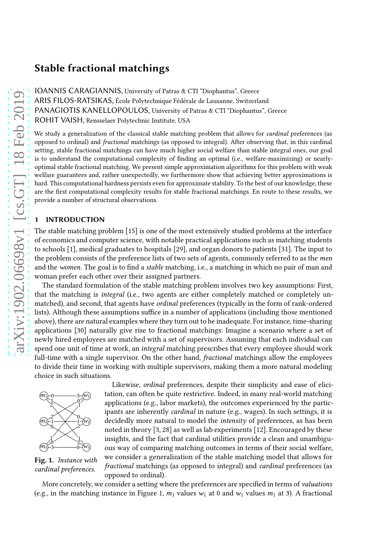# Stable fractional matchings

IOANNIS CARAGIANNIS, University of Patras & CTI "Diophantus", Greece ARIS FILOS-RATSIKAS, École Polytechnique Fédérale de Lausanne, Switzerland PANAGIOTIS KANELLOPOULOS, University of Patras & CTI "Diophantus", Greece ROHIT VAISH, Rensselaer Polytechnic Institute, USA

We study a generalization of the classical stable matching problem that allows for *cardinal* preferences (as opposed to ordinal) and fractional matchings (as opposed to integral). After observing that, in this cardinal setting, stable fractional matchings can have much higher social welfare than stable integral ones, our goal is to understand the computational complexity of finding an optimal (i.e., welfare-maximizing) or nearlyoptimal stable fractional matching. We present simple approximation algorithms for this problem with weak welfare guarantees and, rather unexpectedly, we furthermore show that achieving better approximations is hard. This computational hardness persists even for approximate stability. To the best of our knowledge, these are the first computational complexity results for stable fractional matchings. En route to these results, we provide a number of structural observations.

# 1 INTRODUCTION

The stable matching problem [\[15\]](#page-19-0) is one of the most extensively studied problems at the interface of economics and computer science, with notable practical applications such as matching students to schools [\[1\]](#page-19-1), medical graduates to hospitals [\[29\]](#page-20-0), and organ donors to patients [\[31\]](#page-20-1). The input to the problem consists of the preference lists of two sets of agents, commonly referred to as the men and the women. The goal is to find a *stable* matching, i.e., a matching in which no pair of man and woman prefer each other over their assigned partners.

The standard formulation of the stable matching problem involves two key assumptions: First, that the matching is integral (i.e., two agents are either completely matched or completely unmatched), and second, that agents have ordinal preferences (typically in the form of rank-ordered lists). Although these assumptions suffice in a number of applications (including those mentioned above), there are natural examples where they turn out to be inadequate. For instance, time-sharing applications [\[30](#page-20-2)] naturally give rise to fractional matchings: Imagine a scenario where a set of newly hired employees are matched with a set of supervisors. Assuming that each individual can spend one unit of time at work, an *integral* matching prescribes that every employee should work full-time with a single supervisor. On the other hand, *fractional* matchings allow the employees to divide their time in working with multiple supervisors, making them a more natural modeling choice in such situations.

<span id="page-0-0"></span>

Fig. 1. Instance with cardinal preferences.

Likewise, ordinal preferences, despite their simplicity and ease of elicitation, can often be quite restrictive. Indeed, in many real-world matching applications (e.g., labor markets), the outcomes experienced by the participants are inherently cardinal in nature (e.g., wages). In such settings, it is decidedly more natural to model the intensity of preferences, as has been noted in theory [\[3,](#page-19-2) [28\]](#page-20-3) as well as lab experiments [\[12\]](#page-19-3). Encouraged by these insights, and the fact that cardinal utilities provide a clean and unambiguous way of comparing matching outcomes in terms of their social welfare, we consider a generalization of the stable matching model that allows for fractional matchings (as opposed to integral) and cardinal preferences (as opposed to ordinal).

More concretely, we consider a setting where the preferences are specified in terms of valuations (e.g., in the matching instance in Figure [1,](#page-0-0)  $m_1$  values  $w_1$  at 0 and  $w_1$  values  $m_1$  at 3). A fractional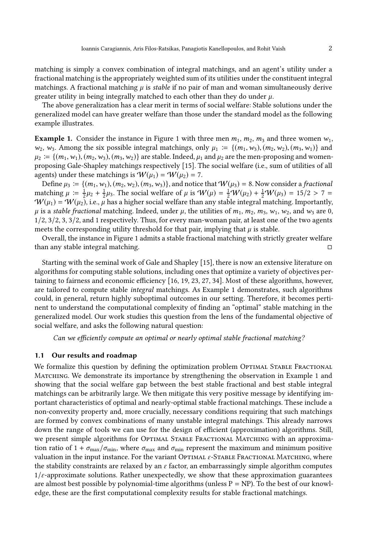matching is simply a convex combination of integral matchings, and an agent's utility under a fractional matching is the appropriately weighted sum of its utilities under the constituent integral matchings. A fractional matching  $\mu$  is *stable* if no pair of man and woman simultaneously derive greater utility in being integrally matched to each other than they do under  $\mu$ .

The above generalization has a clear merit in terms of social welfare: Stable solutions under the generalized model can have greater welfare than those under the standard model as the following example illustrates.

<span id="page-1-0"></span>**Example [1](#page-0-0).** Consider the instance in Figure 1 with three men  $m_1$ ,  $m_2$ ,  $m_3$  and three women  $w_1$ ,  $w_2, w_3$ . Among the six possible integral matchings, only  $\mu_1 := \{(m_1, w_3), (m_2, w_2), (m_3, w_1)\}\$ and  $\mu_2 := \{(m_1, w_1), (m_2, w_3), (m_3, w_2)\}\$ are stable. Indeed,  $\mu_1$  and  $\mu_2$  are the men-proposing and womenproposing Gale-Shapley matchings respectively [\[15](#page-19-0)]. The social welfare (i.e., sum of utilities of all agents) under these matchings is  $W(\mu_1) = W(\mu_2) = 7$ .

Define  $\mu_3 := \{(m_1, w_1), (m_2, w_2), (m_3, w_3)\}\$ , and notice that  $W(\mu_3) = 8$ . Now consider a fractional matching  $\mu := \frac{1}{2}\mu_2 + \frac{1}{2}\mu_3$ . The social welfare of  $\mu$  is  $W(\mu) = \frac{1}{2}W(\mu_2) + \frac{1}{2}W(\mu_3) = 15/2 > 7 =$  $\mathcal{W}(\mu_1) = \mathcal{W}(\mu_2)$ , i.e.,  $\mu$  has a higher social welfare than any stable integral matching. Importantly,  $\mu$  is a stable fractional matching. Indeed, under  $\mu$ , the utilities of  $m_1, m_2, m_3, w_1, w_2$ , and  $w_3$  are 0, 1/2, 3/2, 3, 3/2, and 1 respectively. Thus, for every man-woman pair, at least one of the two agents meets the corresponding utility threshold for that pair, implying that  $\mu$  is stable.

Overall, the instance in Figure [1](#page-0-0) admits a stable fractional matching with strictly greater welfare than any stable integral matching.

Starting with the seminal work of Gale and Shapley [\[15](#page-19-0)], there is now an extensive literature on algorithms for computing stable solutions, including ones that optimize a variety of objectives pertaining to fairness and economic efficiency [\[16](#page-19-4), [19,](#page-19-5) [23,](#page-20-4) [27,](#page-20-5) [34\]](#page-20-6). Most of these algorithms, however, are tailored to compute stable integral matchings. As Example [1](#page-1-0) demonstrates, such algorithms could, in general, return highly suboptimal outcomes in our setting. Therefore, it becomes pertinent to understand the computational complexity of finding an "optimal" stable matching in the generalized model. Our work studies this question from the lens of the fundamental objective of social welfare, and asks the following natural question:

Can we efficiently compute an optimal or nearly optimal stable fractional matching?

### 1.1 Our results and roadmap

We formalize this question by defining the optimization problem OPTIMAL STABLE FRACTIONAL MATCHING. We demonstrate its importance by strengthening the observation in Example [1](#page-1-0) and showing that the social welfare gap between the best stable fractional and best stable integral matchings can be arbitrarily large. We then mitigate this very positive message by identifying important characteristics of optimal and nearly-optimal stable fractional matchings. These include a non-convexity property and, more crucially, necessary conditions requiring that such matchings are formed by convex combinations of many unstable integral matchings. This already narrows down the range of tools we can use for the design of efficient (approximation) algorithms. Still, we present simple algorithms for OPTIMAL STABLE FRACTIONAL MATCHING with an approximation ratio of  $1 + \sigma_{\text{max}}/\sigma_{\text{min}}$ , where  $\sigma_{\text{max}}$  and  $\sigma_{\text{min}}$  represent the maximum and minimum positive valuation in the input instance. For the variant OPTIMAL  $ε$ -STABLE FRACTIONAL MATCHING, where the stability constraints are relaxed by an  $\varepsilon$  factor, an embarrassingly simple algorithm computes  $1/\varepsilon$ -approximate solutions. Rather unexpectedly, we show that these approximation guarantees are almost best possible by polynomial-time algorithms (unless  $P = NP$ ). To the best of our knowledge, these are the first computational complexity results for stable fractional matchings.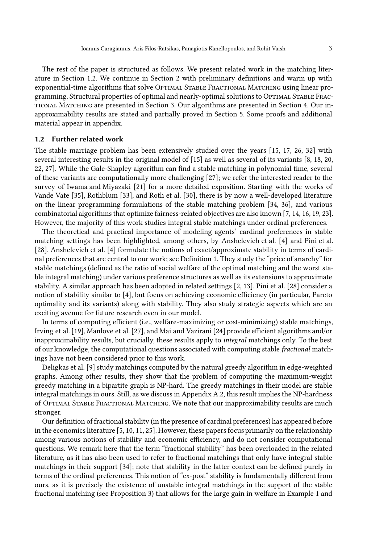The rest of the paper is structured as follows. We present related work in the matching literature in Section [1.2.](#page-21-0) We continue in Section [2](#page-3-0) with preliminary definitions and warm up with exponential-time algorithms that solve OPTIMAL STABLE FRACTIONAL MATCHING using linear programming. Structural properties of optimal and nearly-optimal solutions to OPTIMAL STABLE FRACtional Matching are presented in Section [3.](#page-5-0) Our algorithms are presented in Section [4.](#page-9-0) Our inapproximability results are stated and partially proved in Section [5.](#page-11-0) Some proofs and additional material appear in appendix.

# 1.2 Further related work

The stable marriage problem has been extensively studied over the years [\[15](#page-19-0), [17](#page-19-6), [26](#page-20-7), [32](#page-20-8)] with several interesting results in the original model of [\[15\]](#page-19-0) as well as several of its variants [\[8,](#page-19-7) [18](#page-19-8), [20](#page-19-9), [22](#page-19-10), [27](#page-20-5)]. While the Gale-Shapley algorithm can find a stable matching in polynomial time, several of these variants are computationally more challenging [\[27\]](#page-20-5); we refer the interested reader to the survey of [Iwama and Miyazaki \[21\]](#page-19-11) for a more detailed exposition. Starting with the works of Vande Vate [\[35](#page-20-9)], Rothblum [\[33\]](#page-20-10), and Roth et al. [\[30\]](#page-20-2), there is by now a well-developed literature on the linear programming formulations of the stable matching problem [\[34,](#page-20-6) [36\]](#page-20-11), and various combinatorial algorithms that optimize fairness-related objectives are also known [\[7,](#page-19-12) [14](#page-19-13), [16](#page-19-4), [19,](#page-19-5) [23\]](#page-20-4). However, the majority of this work studies integral stable matchings under ordinal preferences.

The theoretical and practical importance of modeling agents' cardinal preferences in stable matching settings has been highlighted, among others, by [Anshelevich et al. \[4\]](#page-19-14) and [Pini et al.](#page-20-3) [\[28\]](#page-20-3). [Anshelevich et al. \[4](#page-19-14)] formulate the notions of exact/approximate stability in terms of cardinal preferences that are central to our work; see Definition [1.](#page-3-1) They study the "price of anarchy" for stable matchings (defined as the ratio of social welfare of the optimal matching and the worst stable integral matching) under various preference structures as well as its extensions to approximate stability. A similar approach has been adopted in related settings [\[2,](#page-19-15) [13\]](#page-19-16). [Pini et al. \[28\]](#page-20-3) consider a notion of stability similar to [\[4\]](#page-19-14), but focus on achieving economic efficiency (in particular, Pareto optimality and its variants) along with stability. They also study strategic aspects which are an exciting avenue for future research even in our model.

In terms of computing efficient (i.e., welfare-maximizing or cost-minimizing) stable matchings, [Irving et al. \[19](#page-19-5)], [Manlove et al. \[27\]](#page-20-5), and [Mai and Vazirani \[24](#page-20-12)] provide efficient algorithms and/or inapproximability results, but crucially, these results apply to integral matchings only. To the best of our knowledge, the computational questions associated with computing stable fractional matchings have not been considered prior to this work.

Deligkas et al. [\[9\]](#page-19-17) study matchings computed by the natural greedy algorithm in edge-weighted graphs. Among other results, they show that the problem of computing the maximum-weight greedy matching in a bipartite graph is NP-hard. The greedy matchings in their model are stable integral matchings in ours. Still, as we discuss in Appendix [A.2,](#page-21-0) this result implies the NP-hardness of Optimal Stable Fractional Matching. We note that our inapproximability results are much stronger.

Our definition of fractional stability (in the presence of cardinal preferences) has appeared before in the economics literature [\[5,](#page-19-18) [10,](#page-19-19) [11,](#page-19-20) [25](#page-20-13)]. However, these papers focus primarily on the relationship among various notions of stability and economic efficiency, and do not consider computational questions. We remark here that the term "fractional stability" has been overloaded in the related literature, as it has also been used to refer to fractional matchings that only have integral stable matchings in their support [\[34](#page-20-6)]; note that stability in the latter context can be defined purely in terms of the ordinal preferences. This notion of "ex-post" stability is fundamentally different from ours, as it is precisely the existence of unstable integral matchings in the support of the stable fractional matching (see Proposition [3\)](#page-6-0) that allows for the large gain in welfare in Example [1](#page-1-0) and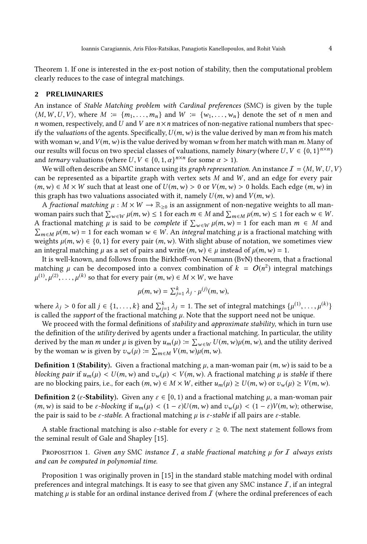Theorem [1.](#page-5-1) If one is interested in the ex-post notion of stability, then the computational problem clearly reduces to the case of integral matchings.

# <span id="page-3-0"></span>2 PRELIMINARIES

An instance of Stable Matching problem with Cardinal preferences (SMC) is given by the tuple  $\langle M, W, U, V \rangle$ , where  $M := \{m_1, \ldots, m_n\}$  and  $W := \{w_1, \ldots, w_n\}$  denote the set of n men and n women, respectively, and U and V are  $n \times n$  matrices of non-negative rational numbers that specify the *valuations* of the agents. Specifically,  $U(m, w)$  is the value derived by man m from his match with woman w, and  $V(m, w)$  is the value derived by woman w from her match with man m. Many of our results will focus on two special classes of valuations, namely *binary* (where  $U, V \in \{0, 1\}^{n \times n}$ ) and *ternary* valuations (where  $U, V \in \{0, 1, \alpha\}^{n \times n}$  for some  $\alpha > 1$ ).

We will often describe an SMC instance using its graph representation. An instance  $I = \langle M, W, U, V \rangle$ can be represented as a bipartite graph with vertex sets  $M$  and  $W$ , and an edge for every pair  $(m, w) \in M \times W$  such that at least one of  $U(m, w) > 0$  or  $V(m, w) > 0$  holds. Each edge  $(m, w)$  in this graph has two valuations associated with it, namely  $U(m, w)$  and  $V(m, w)$ .

A fractional matching  $\mu : M \times W \to \mathbb{R}_{>0}$  is an assignment of non-negative weights to all manwoman pairs such that  $\sum_{w \in W} \mu(m, w) \le 1$  for each  $m \in M$  and  $\sum_{m \in M} \mu(m, w) \le 1$  for each  $w \in W$ . A fractional matching  $\mu$  is said to be *complete* if  $\sum_{w \in W} \mu(m, w) = 1$  for each man  $m \in M$  and  $\sum_{m \in M} \mu(m, w) = 1$  for each woman  $w \in W$ . An *integral* matching  $\mu$  is a fractional matching with weights  $\mu(m, w) \in \{0, 1\}$  for every pair  $(m, w)$ . With slight abuse of notation, we sometimes view an integral matching  $\mu$  as a set of pairs and write  $(m, w) \in \mu$  instead of  $\mu(m, w) = 1$ .

It is well-known, and follows from the Birkhoff-von Neumann (BvN) theorem, that a fractional matching  $\mu$  can be decomposed into a convex combination of  $k = O(n^2)$  integral matchings  $\mu^{(1)},\mu^{(2)},\ldots,\mu^{(k)}$  so that for every pair  $(m,w)\in M\times W,$  we have

$$
\mu(m, w) = \sum_{j=1}^k \lambda_j \cdot \mu^{(j)}(m, w),
$$

where  $\lambda_j > 0$  for all  $j \in \{1, \ldots, k\}$  and  $\sum_{j=1}^k \lambda_j = 1$ . The set of integral matchings  $\{\mu^{(1)}, \ldots, \mu^{(k)}\}$ is called the *support* of the fractional matching  $\mu$ . Note that the support need not be unique.

We proceed with the formal definitions of *stability* and *approximate stability*, which in turn use the definition of the utility derived by agents under a fractional matching. In particular, the utility derived by the man m under  $\mu$  is given by  $u_m(\mu) \coloneqq \sum_{w \in W} U(m, w) \mu(m, w)$ , and the utility derived by the woman w is given by  $v_w(\mu) \coloneqq \sum_{m \in M} V(m, w) \mu(m, w)$ .

<span id="page-3-1"></span>**Definition 1 (Stability).** Given a fractional matching  $\mu$ , a man-woman pair  $(m, w)$  is said to be a blocking pair if  $u_m(\mu) < U(m, w)$  and  $v_w(\mu) < V(m, w)$ . A fractional matching  $\mu$  is stable if there are no blocking pairs, i.e., for each  $(m, w) \in M \times W$ , either  $u_m(\mu) \ge U(m, w)$  or  $v_w(\mu) \ge V(m, w)$ .

**Definition 2** ( $\varepsilon$ -**Stability**). Given any  $\varepsilon \in [0, 1)$  and a fractional matching  $\mu$ , a man-woman pair  $(m, w)$  is said to be  $\varepsilon$ -blocking if  $u_m(\mu) < (1 - \varepsilon)U(m, w)$  and  $v_w(\mu) < (1 - \varepsilon)V(m, w)$ ; otherwise, the pair is said to be  $\varepsilon$ -stable. A fractional matching  $\mu$  is  $\varepsilon$ -stable if all pairs are  $\varepsilon$ -stable.

<span id="page-3-2"></span>A stable fractional matching is also  $\varepsilon$ -stable for every  $\varepsilon \ge 0$ . The next statement follows from the seminal result of Gale and Shapley [\[15](#page-19-0)].

PROPOSITION 1. Given any SMC instance I, a stable fractional matching  $\mu$  for I always exists and can be computed in polynomial time.

Proposition [1](#page-3-2) was originally proven in [\[15\]](#page-19-0) in the standard stable matching model with ordinal preferences and integral matchings. It is easy to see that given any SMC instance  $I$ , if an integral matching  $\mu$  is stable for an ordinal instance derived from  $\mathcal I$  (where the ordinal preferences of each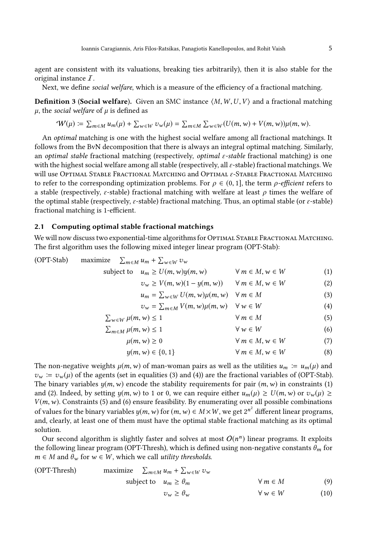agent are consistent with its valuations, breaking ties arbitrarily), then it is also stable for the original instance I.

Next, we define *social welfare*, which is a measure of the efficiency of a fractional matching.

**Definition 3 (Social welfare).** Given an SMC instance  $\langle M, W, U, V \rangle$  and a fractional matching  $\mu$ , the social welfare of  $\mu$  is defined as

$$
\mathcal{W}(\mu) := \sum_{m \in M} u_m(\mu) + \sum_{w \in W} v_w(\mu) = \sum_{m \in M} \sum_{w \in W} (U(m, w) + V(m, w)) \mu(m, w).
$$

An optimal matching is one with the highest social welfare among all fractional matchings. It follows from the BvN decomposition that there is always an integral optimal matching. Similarly, an optimal stable fractional matching (respectively, *optimal*  $\varepsilon$ -stable fractional matching) is one with the highest social welfare among all stable (respectively, all  $\varepsilon$ -stable) fractional matchings. We will use Optimal Stable Fractional Matching and Optimal  $\varepsilon$ -Stable Fractional Matching to refer to the corresponding optimization problems. For  $\rho \in (0, 1]$ , the term  $\rho$ -efficient refers to a stable (respectively,  $\varepsilon$ -stable) fractional matching with welfare at least  $\rho$  times the welfare of the optimal stable (respectively,  $\varepsilon$ -stable) fractional matching. Thus, an optimal stable (or  $\varepsilon$ -stable) fractional matching is 1-efficient.

### <span id="page-4-0"></span>2.1 Computing optimal stable fractional matchings

We will now discuss two exponential-time algorithms for OPTIMAL STABLE FRACTIONAL MATCHING. The first algorithm uses the following mixed integer linear program [\(OPT-Stab\):](#page-4-0)

<span id="page-4-4"></span><span id="page-4-3"></span><span id="page-4-2"></span><span id="page-4-1"></span>

| (OPT-Stab) | maximize $\sum_{m \in M} u_m + \sum_{w \in W} v_w$ |                                                                |                            |     |
|------------|----------------------------------------------------|----------------------------------------------------------------|----------------------------|-----|
|            |                                                    | subject to $u_m \ge U(m, w)y(m, w)$                            | $\forall m \in M, w \in W$ | (1) |
|            |                                                    | $v_w \ge V(m, w)(1 - y(m, w)) \quad \forall m \in M, w \in W$  |                            | (2) |
|            |                                                    | $u_m = \sum_{w \in W} U(m, w) \mu(m, w) \quad \forall m \in M$ |                            | (3) |
|            |                                                    | $v_w = \sum_{m \in M} V(m, w) \mu(m, w)$ $\forall w \in W$     |                            | (4) |
|            | $\sum_{w \in W} \mu(m, w) \leq 1$                  |                                                                | $\forall m \in M$          | (5) |
|            | $\sum_{m \in M} \mu(m, w) \leq 1$                  |                                                                | $\forall w \in W$          | (6) |
|            |                                                    | $\mu(m, w) \geq 0$                                             | $\forall m \in M, w \in W$ | (7) |
|            |                                                    | $y(m, w) \in \{0, 1\}$                                         | $\forall m \in M, w \in W$ | (8) |

<span id="page-4-7"></span><span id="page-4-6"></span><span id="page-4-5"></span>The non-negative weights  $\mu(m, w)$  of man-woman pairs as well as the utilities  $u_m := u_m(\mu)$  and  $v_w := v_w(\mu)$  of the agents (set in equalities [\(3\)](#page-4-1) and [\(4\)](#page-4-2)) are the fractional variables of [\(OPT-Stab\).](#page-4-0) The binary variables  $y(m, w)$  encode the stability requirements for pair  $(m, w)$  in constraints [\(1\)](#page-4-3) and [\(2\)](#page-4-4). Indeed, by setting  $y(m, w)$  to 1 or 0, we can require either  $u_m(\mu) \ge U(m, w)$  or  $v_w(\mu) \ge$  $V(m, w)$ . Constraints [\(5\)](#page-4-5) and [\(6\)](#page-4-6) ensure feasibility. By enumerating over all possible combinations of values for the binary variables  $y(m, w)$  for  $(m, w) \in M \times W$ , we get  $2^{n^2}$  different linear programs, and, clearly, at least one of them must have the optimal stable fractional matching as its optimal solution.

Our second algorithm is slightly faster and solves at most  $O(n^n)$  linear programs. It exploits the following linear program [\(OPT-Thresh\),](#page-4-7) which is defined using non-negative constants  $\theta_m$  for  $m \in M$  and  $\theta_w$  for  $w \in W$ , which we call *utility thresholds*.

<span id="page-4-9"></span><span id="page-4-8"></span>(OPT-Thresh) maximize 
$$
\sum_{m \in M} u_m + \sum_{w \in W} v_w
$$
  
subject to  $u_m \ge \theta_m$   $\forall m \in M$  (9)  
 $v_w \ge \theta_w$   $\forall w \in W$  (10)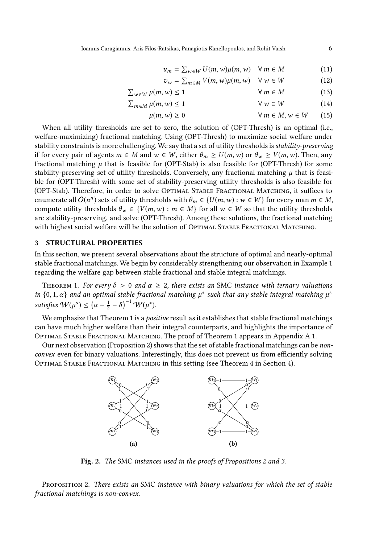<span id="page-5-8"></span><span id="page-5-7"></span><span id="page-5-6"></span><span id="page-5-5"></span><span id="page-5-4"></span>
$$
u_m = \sum_{w \in W} U(m, w) \mu(m, w) \quad \forall \, m \in M \tag{11}
$$

$$
v_w = \sum_{m \in M} V(m, w) \mu(m, w) \quad \forall \, w \in W \tag{12}
$$

$$
\sum_{w \in W} \mu(m, w) \le 1 \qquad \forall \, m \in M \tag{13}
$$

$$
\sum_{m \in M} \mu(m, w) \le 1 \qquad \forall w \in W \qquad (14)
$$

$$
\mu(m, w) \ge 0 \qquad \qquad \forall \, m \in M, w \in W \qquad (15)
$$

When all utility thresholds are set to zero, the solution of [\(OPT-Thresh\)](#page-4-7) is an optimal (i.e., welfare-maximizing) fractional matching. Using [\(OPT-Thresh\)](#page-4-7) to maximize social welfare under stability constraints is more challenging. We say that a set of utility thresholds is stability-preserving if for every pair of agents  $m \in M$  and  $w \in W$ , either  $\theta_m \ge U(m, w)$  or  $\theta_w \ge V(m, w)$ . Then, any fractional matching  $\mu$  that is feasible for [\(OPT-Stab\)](#page-4-0) is also feasible for [\(OPT-Thresh\)](#page-4-7) for some stability-preserving set of utility thresholds. Conversely, any fractional matching  $\mu$  that is feasible for [\(OPT-Thresh\)](#page-4-7) with some set of stability-preserving utility thresholds is also feasible for [\(OPT-Stab\).](#page-4-0) Therefore, in order to solve OPTIMAL STABLE FRACTIONAL MATCHING, it suffices to enumerate all  $O(n^n)$  sets of utility thresholds with  $\theta_m \in \{U(m, w) : w \in W\}$  for every man  $m \in M$ , compute utility thresholds  $\theta_w \in \{V(m, w) : m \in M\}$  for all  $w \in W$  so that the utility thresholds are stability-preserving, and solve [\(OPT-Thresh\).](#page-4-7) Among these solutions, the fractional matching with highest social welfare will be the solution of OPTIMAL STABLE FRACTIONAL MATCHING.

### <span id="page-5-0"></span>3 STRUCTURAL PROPERTIES

In this section, we present several observations about the structure of optimal and nearly-optimal stable fractional matchings. We begin by considerably strengthening our observation in Example [1](#page-1-0) regarding the welfare gap between stable fractional and stable integral matchings.

<span id="page-5-1"></span>THEOREM 1. For every  $\delta > 0$  and  $\alpha \geq 2$ , there exists an SMC instance with ternary valuations in  $\{0, 1, \alpha\}$  and an optimal stable fractional matching  $\mu^*$  such that any stable integral matching  $\mu^s$ satisfies  $W(\mu^s) \leq (\alpha - \frac{1}{2} - \delta)^{-1} W(\mu^s)$ .

We emphasize that Theorem [1](#page-5-1) is a *positive* result as it establishes that stable fractional matchings can have much higher welfare than their integral counterparts, and highlights the importance of Optimal Stable Fractional Matching. The proof of Theorem [1](#page-5-1) appears in Appendix [A.1.](#page-21-1)

<span id="page-5-3"></span>Our next observation (Proposition [2\)](#page-5-2) shows that the set of stable fractional matchings can be nonconvex even for binary valuations. Interestingly, this does not prevent us from efficiently solving Optimal Stable Fractional Matching in this setting (see Theorem [4](#page-9-1) in Section [4\)](#page-9-0).



Fig. 2. The SMC instances used in the proofs of Propositions [2](#page-5-2) and [3.](#page-6-0)

<span id="page-5-2"></span>PROPOSITION 2. There exists an SMC instance with binary valuations for which the set of stable fractional matchings is non-convex.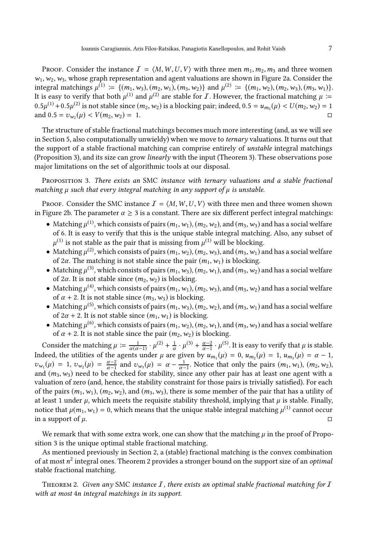Proof. Consider the instance  $I = \langle M, W, U, V \rangle$  with three men  $m_1, m_2, m_3$  and three women  $w_1, w_2, w_3$ , whose graph representation and agent valuations are shown in Figure [2a](#page-5-3). Consider the integral matchings  $\mu^{(1)} \coloneqq \{ (m_1, w_3), (m_2, w_1), (m_3, w_2) \}$  and  $\mu^{(2)} \coloneqq \{ (m_1, w_2), (m_2, w_3), (m_3, w_1) \}.$ It is easy to verify that both  $\mu^{(1)}$  and  $\mu^{(2)}$  are stable for  $I$  . However, the fractional matching  $\mu\coloneqq$  $0.5\mu^{(1)}+0.5\mu^{(2)}$  is not stable since  $(m_2,w_2)$  is a blocking pair; indeed,  $0.5=u_{m_2}(\mu)< U(m_2,w_2)=1$ and  $0.5 = v_{w_2}(\mu) < V(m_2, w_2) = 1.$ 

The structure of stable fractional matchings becomes much more interesting (and, as we will see in Section [5,](#page-11-0) also computationally unwieldy) when we move to *ternary* valuations. It turns out that the support of a stable fractional matching can comprise entirely of unstable integral matchings (Proposition [3\)](#page-6-0), and its size can grow linearly with the input (Theorem [3\)](#page-7-0). These observations pose major limitations on the set of algorithmic tools at our disposal.

<span id="page-6-0"></span>PROPOSITION 3. There exists an SMC instance with ternary valuations and a stable fractional matching  $\mu$  such that every integral matching in any support of  $\mu$  is unstable.

Proof. Consider the SMC instance  $I = \langle M, W, U, V \rangle$  with three men and three women shown in Figure [2b](#page-5-3). The parameter  $\alpha \geq 3$  is a constant. There are six different perfect integral matchings:

- Matching  $\mu^{(1)}$ , which consists of pairs  $(m_1, w_1), (m_2, w_2)$ , and  $(m_3, w_3)$  and has a social welfare of 6. It is easy to verify that this is the unique stable integral matching. Also, any subset of  $\mu^{(1)}$  is not stable as the pair that is missing from  $\mu^{(1)}$  will be blocking.
- Matching  $\mu^{(2)}$ , which consists of pairs  $(m_1, w_2), (m_2, w_3)$ , and  $(m_3, w_1)$  and has a social welfare of 2 $\alpha$ . The matching is not stable since the pair  $(m_1, w_1)$  is blocking.
- Matching  $\mu^{(3)}$ , which consists of pairs  $(m_1, w_3)$ ,  $(m_2, w_1)$ , and  $(m_3, w_2)$  and has a social welfare of 2 $\alpha$ . It is not stable since  $(m_2, w_2)$  is blocking.
- Matching  $\mu^{(4)}$ , which consists of pairs  $(m_1, w_1), (m_2, w_3)$ , and  $(m_3, w_2)$  and has a social welfare of  $\alpha$  + 2. It is not stable since  $(m_3, w_3)$  is blocking.
- Matching  $\mu^{(5)}$ , which consists of pairs  $(m_1, w_3)$ ,  $(m_2, w_2)$ , and  $(m_3, w_1)$  and has a social welfare of  $2\alpha + 2$ . It is not stable since  $(m_1, w_1)$  is blocking.
- Matching  $\mu^{(6)}$ , which consists of pairs  $(m_1, w_2), (m_2, w_1)$ , and  $(m_3, w_3)$  and has a social welfare of  $\alpha$  + 2. It is not stable since the pair  $(m_2, w_2)$  is blocking.

Consider the matching  $\mu := \frac{1}{\alpha(\alpha-1)} \cdot \mu^{(2)} + \frac{1}{\alpha} \cdot \mu^{(3)} + \frac{\alpha-2}{\alpha-1} \cdot \mu^{(5)}$ . It is easy to verify that  $\mu$  is stable. Indeed, the utilities of the agents under  $\mu$  are given by  $u_{m_1}(\mu) = 0$ ,  $u_{m_2}(\mu) = 1$ ,  $u_{m_3}(\mu) = \alpha - 1$ ,  $v_{w_1}(\mu) = 1$ ,  $v_{w_2}(\mu) = \frac{\alpha - 2}{\alpha - 1}$  and  $v_{w_3}(\mu) = \alpha - \frac{1}{\alpha - 1}$ . Notice that only the pairs  $(m_1, w_1)$ ,  $(m_2, w_2)$ , and  $(m_3, w_3)$  need to be checked for stability, since any other pair has at least one agent with a valuation of zero (and, hence, the stability constraint for those pairs is trivially satisfied). For each of the pairs  $(m_1, w_1)$ ,  $(m_2, w_2)$ , and  $(m_3, w_3)$ , there is some member of the pair that has a utility of at least 1 under  $\mu$ , which meets the requisite stability threshold, implying that  $\mu$  is stable. Finally, notice that  $\mu(m_1, w_1) = 0$ , which means that the unique stable integral matching  $\mu^{(1)}$  cannot occur in a support of  $\mu$ .

We remark that with some extra work, one can show that the matching  $\mu$  in the proof of Proposition [3](#page-6-0) is the unique optimal stable fractional matching.

As mentioned previously in Section [2,](#page-3-0) a (stable) fractional matching is the convex combination of at most  $n^2$  integral ones. Theorem [2](#page-6-1) provides a stronger bound on the support size of an *optimal* stable fractional matching.

<span id="page-6-1"></span>THEOREM 2. Given any SMC instance  $I$ , there exists an optimal stable fractional matching for  $I$ with at most 4n integral matchings in its support.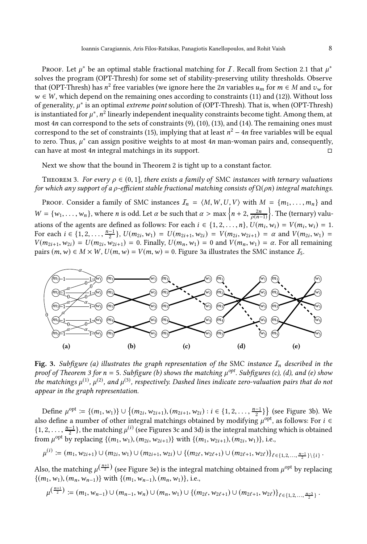Proof. Let  $\mu^*$  be an optimal stable fractional matching for  $I$ . Recall from Section [2.1](#page-4-0) that  $\mu^*$ solves the program [\(OPT-Thresh\)](#page-4-7) for some set of stability-preserving utility thresholds. Observe that [\(OPT-Thresh\)](#page-4-7) has  $n^2$  free variables (we ignore here the 2n variables  $u_m$  for  $m \in M$  and  $v_w$  for  $w \in W$ , which depend on the remaining ones according to constraints [\(11\)](#page-5-4) and [\(12\)](#page-5-5)). Without loss of generality,  $\mu^*$  is an optimal *extreme point* solution of [\(OPT-Thresh\).](#page-4-7) That is, when [\(OPT-Thresh\)](#page-4-7) is instantiated for  $\mu^*$ ,  $n^2$  linearly independent inequality constraints become tight. Among them, at most 4n can correspond to the sets of constraints [\(9\)](#page-4-8), [\(10\)](#page-4-9), [\(13\)](#page-5-6), and [\(14\)](#page-5-7). The remaining ones must correspond to the set of constraints [\(15\)](#page-5-8), implying that at least  $n^2 - 4n$  free variables will be equal to zero. Thus,  $\mu^*$  can assign positive weights to at most 4n man-woman pairs and, consequently, can have at most 4n integral matchings in its support.

<span id="page-7-0"></span>Next we show that the bound in Theorem [2](#page-6-1) is tight up to a constant factor.

THEOREM 3. For every  $\rho \in (0, 1]$ , there exists a family of SMC instances with ternary valuations for which any support of a *ρ*-efficient stable fractional matching consists of  $\Omega(pn)$  integral matchings.

PROOF. Consider a family of SMC instances  $\mathcal{I}_n = \langle M, W, U, V \rangle$  with  $M = \{m_1, \ldots, m_n\}$  and  $W = \{w_1, \ldots, w_n\}$ , where *n* is odd. Let  $\alpha$  be such that  $\alpha > \max\left\{n+2, \frac{2n}{\rho(n-1)}\right\}$ . The (ternary) valuations of the agents are defined as follows: For each  $i \in \{1, 2, ..., n\}$ ,  $U(m_i, w_i) = V(m_i, w_i) = 1$ . For each  $i \in \{1, 2, ..., \frac{n-1}{2}\}, U(m_{2i}, w_1) = U(m_{2i+1}, w_{2i}) = V(m_{2i}, w_{2i+1}) = \alpha$  and  $V(m_{2i}, w_1) =$  $V(m_{2i+1}, w_{2i}) = U(m_{2i}, w_{2i+1}) = 0$ . Finally,  $U(m_n, w_1) = 0$  and  $V(m_n, w_1) = \alpha$ . For all remaining pairs  $(m, w) \in M \times W$ ,  $U(m, w) = V(m, w) = 0$ . Figure [3a](#page-7-1) illustrates the SMC instance  $I_5$ .

<span id="page-7-1"></span>

Fig. 3. Subfigure (a) illustrates the graph representation of the SMC instance  $I_n$  described in the proof of Theorem [3](#page-7-0) for  $n = 5$ . Subfigure (b) shows the matching  $\mu^{opt}$ . Subfigures (c), (d), and (e) show the matchings  $\mu^{(1)},$   $\mu^{(2)},$  and  $\mu^{(3)},$  respectively. Dashed lines indicate zero-valuation pairs that do not appear in the graph representation.

Define  $\mu^{\text{opt}} \coloneqq \{(m_1, w_1)\} \cup \{(m_{2i}, w_{2i+1}), (m_{2i+1}, w_{2i}) : i \in \{1, 2, ..., \frac{n-1}{2}\}\}$  (see Figure [3b](#page-7-1)). We also define a number of other integral matchings obtained by modifying  $\mu^{opt}$ , as follows: For  $i \in$  $\{1, 2, \ldots, \frac{n-1}{2}\}\$ , the matching  $\mu^{(i)}$  (see Figures [3c](#page-7-1) and [3d](#page-7-1)) is the integral matching which is obtained from  $\mu^{\text{opt}}$  by replacing  $\{(m_1, w_1), (m_{2i}, w_{2i+1})\}$  with  $\{(m_1, w_{2i+1}), (m_{2i}, w_1)\}$ , i.e.,

$$
\mu^{(i)} \coloneqq (m_1, w_{2i+1}) \cup (m_{2i}, w_1) \cup (m_{2i+1}, w_{2i}) \cup \{(m_{2\ell}, w_{2\ell+1}) \cup (m_{2\ell+1}, w_{2\ell})\}_{\ell \in \{1, 2, ..., \frac{n-1}{2}\} \setminus \{i\}}.
$$

Also, the matching  $\mu^{\left(\frac{n+1}{2}\right)}$  (see Figure [3e](#page-7-1)) is the integral matching obtained from  $\mu^{\text{opt}}$  by replacing  $\{(m_1, w_1), (m_n, w_{n-1})\}$  with  $\{(m_1, w_{n-1}), (m_n, w_1)\}$ , i.e.,

$$
\mu^{\left(\frac{n+1}{2}\right)} := (m_1, w_{n-1}) \cup (m_{n-1}, w_n) \cup (m_n, w_1) \cup \{(m_{2\ell}, w_{2\ell+1}) \cup (m_{2\ell+1}, w_{2\ell})\}_{\ell \in \{1, 2, ..., \frac{n-3}{2}\}}.
$$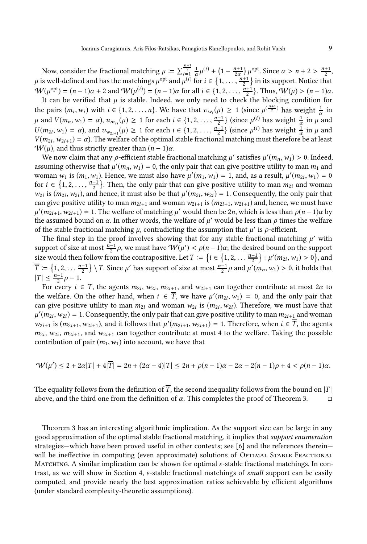Now, consider the fractional matching  $\mu := \sum_{i=1}^{\frac{n+1}{2}} \frac{1}{\alpha} \mu^{(i)} + \left(1 - \frac{n+1}{2\alpha}\right) \mu^{\text{opt}}$ . Since  $\alpha > n+2 > \frac{n+1}{2}$ ,  $\mu$  is well-defined and has the matchings  $\mu^{opt}$  and  $\mu^{(i)}$  for  $i \in \{1, \ldots, \frac{n+1}{2}\}$  in its support. Notice that  $W(\mu^{\text{opt}}) = (n-1)\alpha + 2$  and  $W(\mu^{(i)}) = (n-1)\alpha$  for all  $i \in \{1, 2, ..., \frac{n+1}{2}\}$ . Thus,  $W(\mu) > (n-1)\alpha$ .

It can be verified that  $\mu$  is stable. Indeed, we only need to check the blocking condition for the pairs  $(m_i, w_i)$  with  $i \in \{1, 2, ..., n\}$ . We have that  $v_{w_1}(\mu) \ge 1$  (since  $\mu^{(\frac{n+1}{2})}$  has weight  $\frac{1}{\alpha}$  in  $\mu$  and  $V(m_n, w_1) = \alpha$ ),  $u_{m_{2i}}(\mu) \ge 1$  for each  $i \in \{1, 2, ..., \frac{n-1}{2}\}$  (since  $\mu^{(i)}$  has weight  $\frac{1}{\alpha}$  in  $\mu$  and  $U(m_{2i}, w_1) = \alpha$ ), and  $v_{w_{2i+1}}(\mu) \ge 1$  for each  $i \in \{1, 2, ..., \frac{n-1}{2}\}$  (since  $\mu^{(i)}$  has weight  $\frac{1}{\alpha}$  in  $\mu$  and  $V(m_{2i}, w_{2i+1}) = \alpha$ ). The welfare of the optimal stable fractional matching must therefore be at least  $W(\mu)$ , and thus strictly greater than  $(n-1)\alpha$ .

We now claim that any  $\rho$ -efficient stable fractional matching  $\mu'$  satisfies  $\mu'(m_n, w_1) > 0$ . Indeed, assuming otherwise that  $\mu'(m_n, w_1) = 0$ , the only pair that can give positive utility to man  $m_1$  and woman  $w_1$  is  $(m_1, w_1)$ . Hence, we must also have  $\mu'(m_1, w_1) = 1$ , and, as a result,  $\mu'(m_{2i}, w_1) = 0$ for  $i \in \{1, 2, \ldots, \frac{n-1}{2}\}$ . Then, the only pair that can give positive utility to man  $m_{2i}$  and woman  $w_{2i}$  is  $(m_{2i}, w_{2i})$ , and hence, it must also be that  $\mu'(m_{2i}, w_{2i}) = 1$ . Consequently, the only pair that can give positive utility to man  $m_{2i+1}$  and woman  $w_{2i+1}$  is  $(m_{2i+1}, w_{2i+1})$  and, hence, we must have  $\mu'(m_{2i+1}, w_{2i+1}) = 1$ . The welfare of matching  $\mu'$  would then be 2n, which is less than  $\rho(n-1)\alpha$  by the assumed bound on  $\alpha$ . In other words, the welfare of  $\mu'$  would be less than  $\rho$  times the welfare of the stable fractional matching  $\mu$ , contradicting the assumption that  $\mu'$  is  $\rho$ -efficient.

The final step in the proof involves showing that for any stable fractional matching  $\mu'$  with support of size at most  $\frac{n-1}{2}\rho$ , we must have  $W(\mu') < \rho(n-1)\alpha$ ; the desired bound on the support size would then follow from the contrapositive. Let  $T := \left\{ i \in \left\{1, 2, \ldots \frac{n-1}{2} \right\} : \mu'(m_{2i}, w_1) > 0 \right\}$ , and  $\overline{T} := \{1, 2, \ldots \frac{n-1}{2}\} \setminus T$ . Since  $\mu'$  has support of size at most  $\frac{n-1}{2}\rho$  and  $\mu'(m_n, w_1) > 0$ , it holds that  $|T| \leq \frac{n-1}{2}\rho - 1.$ 

For every  $i \in T$ , the agents  $m_{2i}$ ,  $w_{2i}$ ,  $m_{2i+1}$ , and  $w_{2i+1}$  can together contribute at most  $2\alpha$  to the welfare. On the other hand, when  $i \in \overline{T}$ , we have  $\mu'(m_{2i}, w_1) = 0$ , and the only pair that can give positive utility to man  $m_{2i}$  and woman  $w_{2i}$  is  $(m_{2i}, w_{2i})$ . Therefore, we must have that  $\mu'(m_{2i},w_{2i})$  = 1. Consequently, the only pair that can give positive utility to man  $m_{2i+1}$  and woman  $w_{2i+1}$  is  $(m_{2i+1}, w_{2i+1})$ , and it follows that  $\mu'(m_{2i+1}, w_{2i+1}) = 1$ . Therefore, when  $i \in \overline{T}$ , the agents  $m_{2i}$ ,  $w_{2i}$ ,  $m_{2i+1}$ , and  $w_{2i+1}$  can together contribute at most 4 to the welfare. Taking the possible contribution of pair  $(m_1, w_1)$  into account, we have that

$$
\mathcal{W}(\mu')\leq 2+2\alpha|T|+4|\overline{T}|=2n+(2\alpha-4)|T|\leq 2n+\rho(n-1)\alpha-2\alpha-2(n-1)\rho+4<\rho(n-1)\alpha.
$$

The equality follows from the definition of  $\overline{T}$ , the second inequality follows from the bound on  $|T|$ above, and the third one from the definition of  $\alpha$ . This completes the proof of Theorem [3.](#page-7-0)  $\Box$ 

Theorem [3](#page-7-0) has an interesting algorithmic implication. As the support size can be large in any good approximation of the optimal stable fractional matching, it implies that support enumeration strategies—which have been proved useful in other contexts; see [\[6\]](#page-19-21) and the references therein will be ineffective in computing (even approximate) solutions of OpTIMAL STABLE FRACTIONAL MATCHING. A similar implication can be shown for optimal  $\varepsilon$ -stable fractional matchings. In contrast, as we will show in Section [4,](#page-9-0) ε-stable fractional matchings of small support can be easily computed, and provide nearly the best approximation ratios achievable by efficient algorithms (under standard complexity-theoretic assumptions).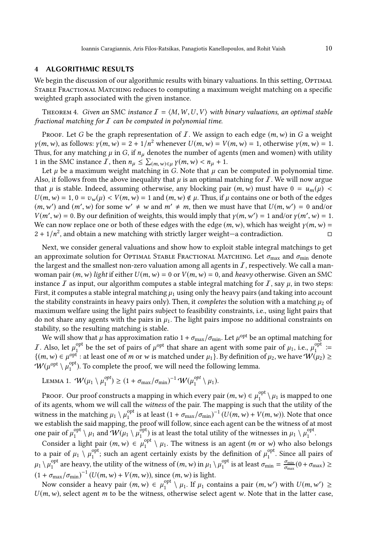# <span id="page-9-0"></span>4 ALGORITHMIC RESULTS

We begin the discussion of our algorithmic results with binary valuations. In this setting, OPTIMAL Stable Fractional Matching reduces to computing a maximum weight matching on a specific weighted graph associated with the given instance.

<span id="page-9-1"></span>THEOREM 4. Given an SMC instance  $I = \langle M, W, U, V \rangle$  with binary valuations, an optimal stable fractional matching for  $I$  can be computed in polynomial time.

Proof. Let G be the graph representation of I. We assign to each edge  $(m, w)$  in G a weight  $\gamma(m, w)$ , as follows:  $\gamma(m, w) = 2 + 1/n^2$  whenever  $U(m, w) = V(m, w) = 1$ , otherwise  $\gamma(m, w) = 1$ . Thus, for any matching  $\mu$  in G, if  $n_{\mu}$  denotes the number of agents (men and women) with utility 1 in the SMC instance  $\overline{I}$ , then  $n_{\mu} \leq \sum_{(m,w)\in\mu} \gamma(m,w) < n_{\mu} + 1$ .

Let  $\mu$  be a maximum weight matching in G. Note that  $\mu$  can be computed in polynomial time. Also, it follows from the above inequality that  $\mu$  is an optimal matching for  $\mathcal I$ . We will now argue that  $\mu$  is stable. Indeed, assuming otherwise, any blocking pair  $(m, w)$  must have  $0 = u_m(\mu)$  <  $U(m, w) = 1, 0 = v_w(\mu) < V(m, w) = 1$  and  $(m, w) \notin \mu$ . Thus, if  $\mu$  contains one or both of the edges  $(m, w')$  and  $(m', w)$  for some  $w' \neq w$  and  $m' \neq m$ , then we must have that  $U(m, w') = 0$  and/or  $V(m', w) = 0$ . By our definition of weights, this would imply that  $\gamma(m, w') = 1$  and/or  $\gamma(m', w) = 1$ . We can now replace one or both of these edges with the edge  $(m, w)$ , which has weight  $\gamma(m, w)$  =  $2 + 1/n^2$ , and obtain a new matching with strictly larger weight—a contradiction.

Next, we consider general valuations and show how to exploit stable integral matchings to get an approximate solution for OPTIMAL STABLE FRACTIONAL MATCHING. Let  $\sigma_{\text{max}}$  and  $\sigma_{\text{min}}$  denote the largest and the smallest non-zero valuation among all agents in  $I$ , respectively. We call a manwoman pair  $(m, w)$  light if either  $U(m, w) = 0$  or  $V(m, w) = 0$ , and heavy otherwise. Given an SMC instance  $\bar{I}$  as input, our algorithm computes a stable integral matching for  $\bar{I}$ , say  $\mu$ , in two steps: First, it computes a stable integral matching  $\mu_1$  using only the heavy pairs (and taking into account the stability constraints in heavy pairs only). Then, it *completes* the solution with a matching  $\mu_2$  of maximum welfare using the light pairs subject to feasibility constraints, i.e., using light pairs that do not share any agents with the pairs in  $\mu_1$ . The light pairs impose no additional constraints on stability, so the resulting matching is stable.

We will show that  $\mu$  has approximation ratio 1 +  $\sigma_{\text{max}}/\sigma_{\text{min}}$ . Let  $\mu^{\text{opt}}$  be an optimal matching for  $I$ . Also, let  $\mu_1^{\text{opt}}$ <sup>opt</sup> be the set of pairs of  $\mu^{\text{opt}}$  that share an agent with some pair of  $\mu_1$ , i.e.,  $\mu_1^{\text{opt}}$  :=  ${(m, w) ∈ µ^{opt}}$ : at least one of m or w is matched under  $\mu_1$ }. By definition of  $\mu_2$ , we have  $W(\mu_2) ≥$  $W(\mu^{\text{opt}}\setminus \mu^{\text{opt}}_1)$  $1<sub>1</sub>$ ). To complete the proof, we will need the following lemma.

<span id="page-9-2"></span>LEMMA 1. 
$$
W(\mu_1 \setminus \mu_1^{opt}) \ge (1 + \sigma_{\max}/\sigma_{\min})^{-1} W(\mu_1^{opt} \setminus \mu_1).
$$

Proof. Our proof constructs a mapping in which every pair  $(m, w) \in \mu_1^{\text{opt}}$  $\int_1^{\text{opt}} \setminus \mu_1$  is mapped to one of its agents, whom we will call the witness of the pair. The mapping is such that the utility of the witness in the matching  $\mu_1 \setminus \mu_1^{\text{opt}}$ <sup>opt</sup> is at least  $(1 + \sigma_{\text{max}}/\sigma_{\text{min}})^{-1} (U(m, w) + V(m, w))$ . Note that once we establish the said mapping, the proof will follow, since each agent can be the witness of at most one pair of  $\mu_1^{\text{opt}}$  $\mathcal{U}_1^{\text{opt}} \setminus \mu_1$  and  $\mathcal{W}(\mu_1 \setminus \mu_1^{\text{opt}})$  $_{1}^{\text{opt}}$ ) is at least the total utility of the witnesses in  $\mu_1 \setminus \mu_1^{\text{opt}}$ օբւ<br>1

Consider a light pair  $(m, w) \in \mu_1^{\text{opt}}$  $\int_1^{\text{opt}} \langle \mu_1 \rangle$ . The witness is an agent  $(m \text{ or } w)$  who also belongs to a pair of  $\mu_1 \setminus \mu_1^{\text{opt}}$ <sup>opt</sup>; such an agent certainly exists by the definition of  $\mu_1^{\text{opt}}$  $1<sup>opt</sup>$ . Since all pairs of  $\mu_1 \setminus \mu_1^{\text{opt}}$  $_{1}^{\mathrm{opt}}$  are heavy, the utility of the witness of  $(m,w)$  in  $\mu_{1} \setminus \mu_{1}^{\mathrm{opt}}$ <sup>opt</sup> is at least  $\sigma_{\min} = \frac{\sigma_{\min}}{\sigma_{\max}} (0 + \sigma_{\max}) \ge$  $(1 + \sigma_{\text{max}}/\sigma_{\text{min}})^{-1} (U(m, w) + V(m, w))$ , since  $(m, w)$  is light.

Now consider a heavy pair  $(m, w) \in \mu_1^{\text{opt}}$  $\int_1^{\text{opt}} \setminus \mu_1$ . If  $\mu_1$  contains a pair  $(m, w')$  with  $U(m, w') \geq$  $U(m, w)$ , select agent m to be the witness, otherwise select agent w. Note that in the latter case,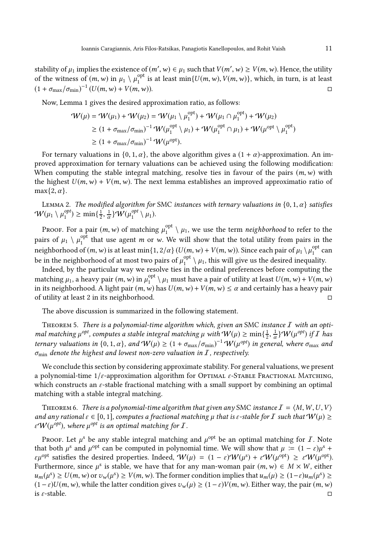stability of  $\mu_1$  implies the existence of  $(m', w) \in \mu_1$  such that  $V(m', w) \ge V(m, w)$ . Hence, the utility of the witness of  $(m, w)$  in  $\mu_1 \setminus \mu_1^{\text{opt}}$  $_{1}^{\text{opt}}$  is at least min $\{U(m, w), V(m, w)\}$ , which, in turn, is at least  $(1 + \sigma_{\text{max}}/\sigma_{\text{min}})^{-1} (U(m, w) + V(m, w)).$ 

Now, Lemma [1](#page-9-2) gives the desired approximation ratio, as follows:

$$
\mathcal{W}(\mu) = \mathcal{W}(\mu_1) + \mathcal{W}(\mu_2) = \mathcal{W}(\mu_1 \setminus \mu_1^{\text{opt}}) + \mathcal{W}(\mu_1 \cap \mu_1^{\text{opt}}) + \mathcal{W}(\mu_2)
$$
  
\n
$$
\geq (1 + \sigma_{\text{max}}/\sigma_{\text{min}})^{-1} \mathcal{W}(\mu_1^{\text{opt}} \setminus \mu_1) + \mathcal{W}(\mu_1^{\text{opt}} \cap \mu_1) + \mathcal{W}(\mu_{\text{opt}}^{\text{opt}} \setminus \mu_1^{\text{opt}})
$$
  
\n
$$
\geq (1 + \sigma_{\text{max}}/\sigma_{\text{min}})^{-1} \mathcal{W}(\mu_{\text{opt}}).
$$

For ternary valuations in  $\{0, 1, \alpha\}$ , the above algorithm gives a  $(1 + \alpha)$ -approximation. An improved approximation for ternary valuations can be achieved using the following modification: When computing the stable integral matching, resolve ties in favour of the pairs  $(m, w)$  with the highest  $U(m, w) + V(m, w)$ . The next lemma establishes an improved approximatio ratio of  $max{2, \alpha}$ .

LEMMA 2. The modified algorithm for SMC instances with ternary valuations in  $\{0, 1, \alpha\}$  satisfies  $\mathcal{W}(\mu_1 \setminus \mu_1^{opt}$  $\binom{opt}{1} \ge \min\{\frac{1}{2},\frac{1}{\alpha}\}W(\mu_1^{opt})$  $\int_1^{opt} \setminus \mu_1$ .

Proof. For a pair  $(m, w)$  of matching  $\mu_1^{\text{opt}}$  $\frac{1}{1}$   $\mu_1$ , we use the term *neighborhood* to refer to the pairs of  $\mu_1 \setminus \mu_1^{\text{opt}}$ <sup>opt</sup> that use agent *m* or *w*. We will show that the total utility from pairs in the neighborhood of  $(m, w)$  is at least min{1, 2/α}  $(U(m, w) + V(m, w))$ . Since each pair of  $\mu_1 \setminus \mu_1^{\text{opt}}$  $\frac{1}{1}$  can be in the neighborhood of at most two pairs of  $\mu_1^{\rm opt}$  $\int_1^{\text{opt}} \chi \mu_1$ , this will give us the desired inequality.

Indeed, by the particular way we resolve ties in the ordinal preferences before computing the matching  $\mu_1$ , a heavy pair  $(m, w)$  in  $\mu_1^{\text{opt}}$  $\int_1^{\text{opt}} \setminus \mu_1$  must have a pair of utility at least  $U(m, w) + V(m, w)$ in its neighborhood. A light pair  $(m, w)$  has  $U(m, w) + V(m, w) \leq \alpha$  and certainly has a heavy pair of utility at least 2 in its neighborhood.

<span id="page-10-1"></span>The above discussion is summarized in the following statement.

THEOREM 5. There is a polynomial-time algorithm which, given an SMC instance  $I$  with an optimal matching  $\mu^{opt}$ , computes a stable integral matching  $\mu$  with  $W(\mu) \ge \min\{\frac{1}{2},\frac{1}{\alpha}\}W(\mu^{opt})$  if  $I$  has ternary valuations in  $\{0,1,\alpha\}$ , and  $W(\mu) \ge (1+\sigma_{\max}/\sigma_{\min})^{-1} W(\mu^{opt})$  in general, where  $\sigma_{\max}$  and  $\sigma_{\min}$  denote the highest and lowest non-zero valuation in  $I$ , respectively.

We conclude this section by considering approximate stability. For general valuations, we present a polynomial-time  $1/\varepsilon$ -approximation algorithm for OPTIMAL  $\varepsilon$ -STABLE FRACTIONAL MATCHING, which constructs an  $\varepsilon$ -stable fractional matching with a small support by combining an optimal matching with a stable integral matching.

<span id="page-10-0"></span>THEOREM 6. There is a polynomial-time algorithm that given any SMC instance  $I = \langle M, W, U, V \rangle$ and any rational  $\varepsilon \in [0,1]$ , computes a fractional matching  $\mu$  that is  $\varepsilon$ -stable for I such that  $W(\mu) \geq$ ε $W(\mu^{opt})$ , where  $\mu^{opt}$  is an optimal matching for *I*.

Proof. Let  $\mu^s$  be any stable integral matching and  $\mu^{\text{opt}}$  be an optimal matching for  $I$ . Note that both  $\mu^s$  and  $\mu^{opt}$  can be computed in polynomial time. We will show that  $\mu := (1 - \varepsilon)\mu^s +$  $\varepsilon \mu^{\text{opt}}$  satisfies the desired properties. Indeed,  $W(\mu) = (1 - \varepsilon)W(\mu^s) + \varepsilon W(\mu^{\text{opt}}) \ge \varepsilon W(\mu^{\text{opt}})$ . Furthermore, since  $\mu^s$  is stable, we have that for any man-woman pair  $(m, w) \in M \times W$ , either  $u_m(\mu^s) \ge U(m, w)$  or  $v_w(\mu^s) \ge V(m, w)$ . The former condition implies that  $u_m(\mu) \ge (1 - \varepsilon)u_m(\mu^s) \ge$  $(1 - \varepsilon)U(m, w)$ , while the latter condition gives  $v_w(\mu) \ge (1 - \varepsilon)V(m, w)$ . Either way, the pair  $(m, w)$  $\overline{\phantom{a}}$  is  $\varepsilon$ -stable.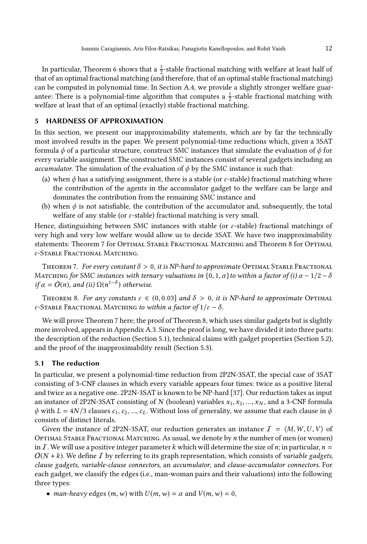In particular, Theorem [6](#page-10-0) shows that a  $\frac{1}{2}$ -stable fractional matching with welfare at least half of that of an optimal fractional matching (and therefore, that of an optimal stable fractional matching) can be computed in polynomial time. In Section [A.4,](#page-25-0) we provide a slightly stronger welfare guarantee: There is a polynomial-time algorithm that computes a  $\frac{1}{2}$ -stable fractional matching with welfare at least that of an optimal (exactly) stable fractional matching.

### <span id="page-11-0"></span>5 HARDNESS OF APPROXIMATION

In this section, we present our inapproximability statements, which are by far the technically most involved results in the paper. We present polynomial-time reductions which, given a 3SAT formula  $\phi$  of a particular structure, construct SMC instances that simulate the evaluation of  $\phi$  for every variable assignment. The constructed SMC instances consist of several gadgets including an accumulator. The simulation of the evaluation of  $\phi$  by the SMC instance is such that:

- (a) when  $\phi$  has a satisfying assignment, there is a stable (or  $\varepsilon$ -stable) fractional matching where the contribution of the agents in the accumulator gadget to the welfare can be large and dominates the contribution from the remaining SMC instance and
- (b) when  $\phi$  is not satisfiable, the contribution of the accumulator and, subsequently, the total welfare of any stable (or  $\varepsilon$ -stable) fractional matching is very small.

Hence, distinguishing between SMC instances with stable (or  $\varepsilon$ -stable) fractional matchings of very high and very low welfare would allow us to decide 3SAT. We have two inapproximability statements: Theorem [7](#page-11-1) for Optimal Stable Fractional Matching and Theorem [8](#page-11-2) for Optimal  $\varepsilon$ -Stable Fractional Matching.

<span id="page-11-1"></span>THEOREM 7. For every constant  $\delta > 0$ , it is NP-hard to approximate OPTIMAL STABLE FRACTIONAL MATCHING for SMC instances with ternary valuations in  $\{0, 1, \alpha\}$  to within a factor of (i)  $\alpha - 1/2 - \delta$ if  $\alpha = O(n)$ , and (ii)  $\Omega(n^{1-\delta})$  otherwise.

<span id="page-11-2"></span>THEOREM 8. For any constants  $\varepsilon \in (0, 0.03]$  and  $\delta > 0$ , it is NP-hard to approximate OPTIMAL ε-STABLE FRACTIONAL MATCHING to within a factor of  $1/\varepsilon - \delta$ .

We will prove Theorem [7](#page-11-1) here; the proof of Theorem [8,](#page-11-2) which uses similar gadgets but is slightly more involved, appears in Appendix [A.3.](#page-22-0) Since the proof is long, we have divided it into three parts: the description of the reduction (Section [5.1\)](#page-11-3), technical claims with gadget properties (Section [5.2\)](#page-14-0), and the proof of the inapproximability result (Section [5.3\)](#page-16-0).

### <span id="page-11-3"></span>5.1 The reduction

In particular, we present a polynomial-time reduction from 2P2N-3SAT, the special case of 3SAT consisting of 3-CNF clauses in which every variable appears four times: twice as a positive literal and twice as a negative one. 2P2N-3SAT is known to be NP-hard [\[37\]](#page-20-14). Our reduction takes as input an instance of 2P2N-3SAT consisting of N (boolean) variables  $x_1, x_2, ..., x_N$ , and a 3-CNF formula  $\phi$  with  $L = 4N/3$  clauses  $c_1, c_2, ..., c_L$ . Without loss of generality, we assume that each clause in  $\phi$ consists of distinct literals.

Given the instance of 2P2N-3SAT, our reduction generates an instance  $\mathcal{I} = \langle M, W, U, V \rangle$  of Optimal Stable Fractional Matching. As usual, we denote by n the number of men (or women) in I. We will use a positive integer parameter k which will determine the size of n; in particular,  $n =$  $O(N + k)$ . We define I by referring to its graph representation, which consists of variable gadgets, clause gadgets, variable-clause connectors, an accumulator, and clause-accumulator connectors. For each gadget, we classify the edges (i.e., man-woman pairs and their valuations) into the following three types:

• man-heavy edges  $(m, w)$  with  $U(m, w) = \alpha$  and  $V(m, w) = 0$ ,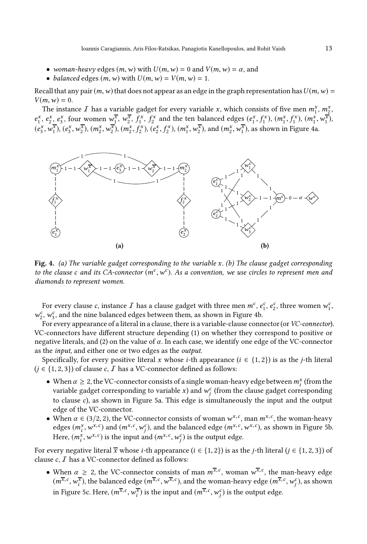- woman-heavy edges  $(m, w)$  with  $U(m, w) = 0$  and  $V(m, w) = \alpha$ , and
- balanced edges  $(m, w)$  with  $U(m, w) = V(m, w) = 1$ .

Recall that any pair  $(m, w)$  that does not appear as an edge in the graph representation has  $U(m, w)$  =  $V(m, w) = 0.$ 

The instance  $I$  has a variable gadget for every variable  $x$ , which consists of five men  $m_1^x$ ,  $m_2^x$ ,  $e_1^x$ ,  $e_2^x$ ,  $e_3^x$ , four women  $w_1^{\overline{x}}$ ,  $w_2^{\overline{x}}$ ,  $f_1^x$ ,  $f_2^x$  and the ten balanced edges  $(e_1^x, f_1^x)$ ,  $(m_1^x, f_1^x)$ ,  $(m_1^x, w_1^{\overline{x}})$ ,  $(e_3^x, w_1^{\overline{x}}), (e_3^x, w_2^{\overline{x}}), (m_2^x, w_2^{\overline{x}}), (m_2^x, f_2^x), (e_2^x, f_2^x), (m_1^x, w_2^{\overline{x}}),$  and  $(m_2^x, w_1^{\overline{x}})$ , as shown in Figure [4a.](#page-12-0)

<span id="page-12-0"></span>

Fig. 4. (a) The variable gadget corresponding to the variable  $x$ . (b) The clause gadget corresponding to the clause c and its CA-connector  $(m^c, w^c)$ . As a convention, we use circles to represent men and diamonds to represent women.

For every clause  $c$ , instance  $I$  has a clause gadget with three men  $m^c$ ,  $e_1^c$ ,  $e_2^c$ , three women  $w_1^c$ ,  $w_2^c,\,w_3^c,$  and the nine balanced edges between them, as shown in Figure [4b.](#page-12-0)

For every appearance of a literal in a clause, there is a variable-clause connector (or VC-connector). VC-connectors have different structure depending (1) on whether they correspond to positive or negative literals, and (2) on the value of  $\alpha$ . In each case, we identify one edge of the VC-connector as the input, and either one or two edges as the output.

Specifically, for every positive literal x whose *i*-th appearance ( $i \in \{1, 2\}$ ) is as the *j*-th literal  $(j \in \{1, 2, 3\})$  of clause c,  $\overline{I}$  has a VC-connector defined as follows:

- When  $\alpha \geq 2$ , the VC-connector consists of a single woman-heavy edge between  $m_i^x$  (from the variable gadget corresponding to variable  $x$ ) and  $w_j^c$  (from the clause gadget corresponding to clause c), as shown in Figure [5a](#page-13-0). This edge is simultaneously the input and the output edge of the VC-connector.
- When  $\alpha \in (3/2, 2)$ , the VC-connector consists of woman  $w^{x,c}$ , man  $m^{x,c}$ , the woman-heavy edges  $(m_i^x, w^{x,c})$  and  $(m^{x,c}, w_j^c)$ , and the balanced edge  $(m^{x,c}, w^{x,c})$ , as shown in Figure [5b](#page-13-0). Here,  $(m_i^x, w^{x,c})$  is the input and  $(m^{x,c}, w_j^c)$  is the output edge.

For every negative literal  $\overline{x}$  whose *i*-th appearance ( $i \in \{1, 2\}$ ) is as the *j*-th literal ( $j \in \{1, 2, 3\}$ ) of clause  $c, I$  has a VC-connector defined as follows:

• When  $\alpha \geq 2$ , the VC-connector consists of man  $m^{\overline{x},c}$ , woman  $w^{\overline{x},c}$ , the man-heavy edge  $(m^{\overline{x},c},w^{\overline{x}}_i)$ , the balanced edge  $(m^{\overline{x},c},w^{\overline{x},c})$ , and the woman-heavy edge  $(m^{\overline{x},c},w^c_j)$ , as shown in Figure [5c](#page-13-0). Here,  $(m^{\overline{x},c}, w_i^{\overline{x}})$  is the input and  $(m^{\overline{x},c}, w_j^c)$  is the output edge.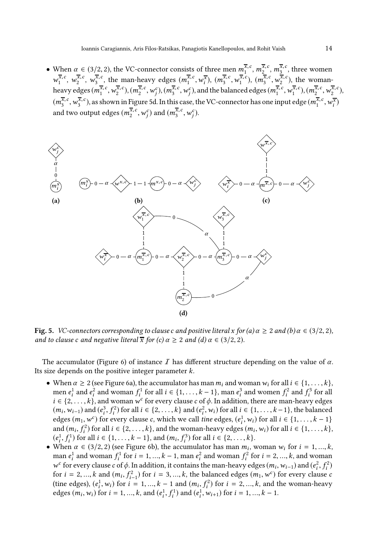• When  $\alpha \in (3/2, 2)$ , the VC-connector consists of three men  $m_1^{\overline{x}, c}, m_2^{\overline{x}, c}, m_3^{\overline{x}, c}$ , three women  $w_1^{\overline{x},c}, w_2^{\overline{x},c}, w_3^{\overline{x},c}$ , the man-heavy edges  $(m_1^{\overline{x},c}, w_1^{\overline{x}}), (m_3^{\overline{x},c}, w_1^{\overline{x},c}), (m_3^{\overline{x},c}, w_2^{\overline{x},c})$ , the womanheavy edges  $(m_1^{\overline{x},c}, w_2^{\overline{x},c}), (m_2^{\overline{x},c}, w_j^c), (m_3^{\overline{x},c}, w_j^c)$ , and the balanced edges  $(m_1^{\overline{x},c}, w_1^{\overline{x},c}), (m_2^{\overline{x},c}, w_2^{\overline{x},c}),$  $(m_3^{\overline{x},c}, w_3^{\overline{x},c})$ , as shown in Figure [5d](#page-13-0). In this case, the VC-connector has one input edge  $(m_1^{\overline{x},c}, w_1^{\overline{x}})$ and two output edges  $(m_2^{\overline{x},c},w_j^c)$  and  $(m_3^{\overline{x},c},w_j^c)$ .

<span id="page-13-0"></span>

**Fig. 5.** *VC-connectors corresponding to clause c and positive literal x for (a)*  $\alpha \ge 2$  *and (b)*  $\alpha \in (3/2, 2)$ *,* and to clause c and negative literal  $\overline{x}$  for (c)  $\alpha \geq 2$  and (d)  $\alpha \in (3/2, 2)$ .

The accumulator (Figure [6\)](#page-14-1) of instance I has different structure depending on the value of  $\alpha$ . Its size depends on the positive integer parameter k.

- When  $\alpha \geq 2$  (see Figure [6a](#page-14-1)), the accumulator has man  $m_i$  and woman  $w_i$  for all  $i \in \{1, \ldots, k\}$ , men  $e_i^1$  and  $e_i^2$  and woman  $f_i^1$  for all  $i \in \{1, ..., k-1\}$ , man  $e_i^3$  and women  $f_i^2$  and  $f_i^3$  for all  $i \in \{2, \ldots, k\}$ , and woman  $w^c$  for every clause c of  $\phi$ . In addition, there are man-heavy edges  $(m_i, w_{i-1})$  and  $(e_i^3, f_i^2)$  for all  $i \in \{2, ..., k\}$  and  $(e_i^2, w_i)$  for all  $i \in \{1, ..., k-1\}$ , the balanced edges  $(m_1, w^c)$  for every clause c, which we call tine edges,  $(e_i^1, w_i)$  for all  $i \in \{1, ..., k-1\}$ and  $(m_i, f_i^2)$  for all  $i \in \{2, ..., k\}$ , and the woman-heavy edges  $(m_i, w_i)$  for all  $i \in \{1, ..., k\}$ ,  $(e_i^1, f_i^1)$  for all  $i \in \{1, ..., k-1\}$ , and  $(m_i, f_i^3)$  for all  $i \in \{2, ..., k\}$ .
- When  $\alpha \in (3/2, 2)$  (see Figure [6b](#page-14-1)), the accumulator has man  $m_i$ , woman  $w_i$  for  $i = 1, ..., k$ , man  $e_i^1$  and woman  $f_i^1$  for  $i = 1, ..., k - 1$ , man  $e_i^2$  and woman  $f_i^2$  for  $i = 2, ..., k$ , and woman w<sup>c</sup> for every clause c of  $\phi$ . In addition, it contains the man-heavy edges ( $m_i$ ,  $w_{i-1}$ ) and ( $e_i^2$ ,  $f_i^2$ ) for  $i = 2, ..., k$  and  $(m_i, f_{i-1}^2)$  for  $i = 3, ..., k$ , the balanced edges  $(m_1, w^c)$  for every clause c (tine edges),  $(e_i^1, w_i)$  for  $i = 1, ..., k - 1$  and  $(m_i, f_i^2)$  for  $i = 2, ..., k$ , and the woman-heavy edges  $(m_i, w_i)$  for  $i = 1, ..., k$ , and  $(e_i^1, f_i^1)$  and  $(e_i^1, w_{i+1})$  for  $i = 1, ..., k - 1$ .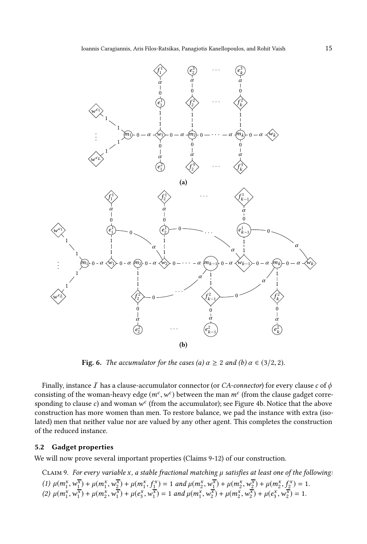<span id="page-14-1"></span>

**Fig. 6.** The accumulator for the cases (a)  $\alpha \ge 2$  and (b)  $\alpha \in (3/2, 2)$ .

Finally, instance I has a clause-accumulator connector (or CA-connector) for every clause c of  $\phi$ consisting of the woman-heavy edge  $(m^c, w^c)$  between the man  $m^c$  (from the clause gadget corresponding to clause  $c$ ) and woman  $w^c$  (from the accumulator); see Figure [4b.](#page-12-0) Notice that the above construction has more women than men. To restore balance, we pad the instance with extra (isolated) men that neither value nor are valued by any other agent. This completes the construction of the reduced instance.

# <span id="page-14-0"></span>5.2 Gadget properties

<span id="page-14-2"></span>We will now prove several important properties (Claims [9](#page-14-2)[-12\)](#page-16-1) of our construction.

CLAIM 9. For every variable x, a stable fractional matching  $\mu$  satisfies at least one of the following: (1)  $\mu(m_1^x, w_1^{\overline{x}}) + \mu(m_1^x, w_2^{\overline{x}}) + \mu(m_1^x, f_1^x) = 1$  and  $\mu(m_2^x, w_1^{\overline{x}}) + \mu(m_2^x, w_2^{\overline{x}}) + \mu(m_2^x, f_2^x) = 1$ . (2)  $\mu(m_1^{\overline{x}}, w_1^{\overline{x}}) + \mu(m_2^{\overline{x}}, w_1^{\overline{x}}) + \mu(e_3^{\overline{x}}, w_1^{\overline{x}}) = 1$  and  $\mu(m_1^{\overline{x}}, w_2^{\overline{x}}) + \mu(m_2^{\overline{x}}, w_2^{\overline{x}}) + \mu(e_3^{\overline{x}}, w_2^{\overline{x}}) = 1$ .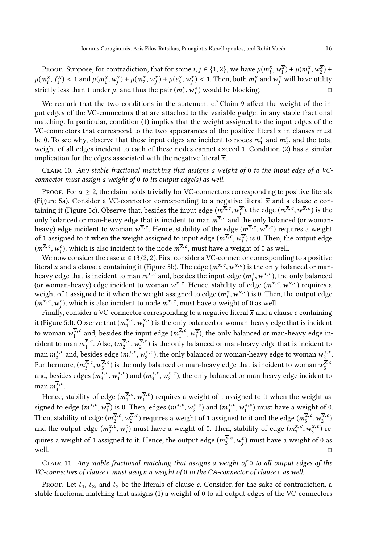PROOF. Suppose, for contradiction, that for some  $i, j \in \{1, 2\}$ , we have  $\mu(m_i^x, w_i^{\overline{x}}) + \mu(m_i^x, w_i^{\overline{x}}) + \mu(m_i^x, w_i^{\overline{x}})$  $\mu(m_i^x, f_1^x) < 1$  and  $\mu(m_i^x, w_j^{\overline{x}}) + \mu(m_i^x, w_j^{\overline{x}}) + \mu(e_i^x, w_j^{\overline{x}}) < 1$ . Then, both  $m_i^x$  and  $w_j^{\overline{x}}$  will have utility strictly less than 1 under  $\mu$ , and thus the pair  $(m_i^x, w_j^{\overline{x}})$  would be blocking.

We remark that the two conditions in the statement of Claim [9](#page-14-2) affect the weight of the input edges of the VC-connectors that are attached to the variable gadget in any stable fractional matching. In particular, condition (1) implies that the weight assigned to the input edges of the VC-connectors that correspond to the two appearances of the positive literal  $x$  in clauses must be 0. To see why, observe that these input edges are incident to nodes  $m_1^x$  and  $m_2^x$ , and the total weight of all edges incident to each of these nodes cannot exceed 1. Condition (2) has a similar implication for the edges associated with the negative literal  $\overline{x}$ .

<span id="page-15-1"></span>Claim 10. Any stable fractional matching that assigns a weight of 0 to the input edge of a VCconnector must assign a weight of 0 to its output edge(s) as well.

PROOF. For  $\alpha \geq 2$ , the claim holds trivially for VC-connectors corresponding to positive literals (Figure [5a\)](#page-13-0). Consider a VC-connector corresponding to a negative literal  $\overline{x}$  and a clause c con-taining it (Figure [5c\)](#page-13-0). Observe that, besides the input edge  $(m^{\overline{x},c}, w_i^{\overline{x}})$ , the edge  $(m^{\overline{x},c}, w^{\overline{x},c})$  is the only balanced or man-heavy edge that is incident to man  $m^{\overline{\mathbf{x}}, \, c}$  and the only balanced (or womanheavy) edge incident to woman  $w^{\overline{x},c}.$  Hence, stability of the edge  $(m^{\overline{x},c},w^{\overline{x},c})$  requires a weight of 1 assigned to it when the weight assigned to input edge  $(m^{\overline{x},c}, w^{\overline{x}}_i)$  is 0. Then, the output edge  $(m^{\overline{x},c},w^c_j)$ , which is also incident to the node  $m^{\overline{x},c}$ , must have a weight of 0 as well.

We now consider the case  $\alpha \in (3/2, 2)$ . First consider a VC-connector corresponding to a positive literal x and a clause c containing it (Figure [5b\)](#page-13-0). The edge  $(m^{x,c}, w^{x,c})$  is the only balanced or manheavy edge that is incident to man  $m^{x,c}$  and, besides the input edge  $(m_i^x, w^{x,c})$ , the only balanced (or woman-heavy) edge incident to woman  $w^{x,c}$ . Hence, stability of edge  $(m^{x,c}, w^{x,c})$  requires a weight of 1 assigned to it when the weight assigned to edge  $(m_i^x, w^{x,c})$  is 0. Then, the output edge  $(m^{x,c}, w_j^c)$ , which is also incident to node  $m^{x,c}$ , must have a weight of 0 as well.

Finally, consider a VC-connector corresponding to a negative literal  $\overline{x}$  and a clause c containing it (Figure [5d\)](#page-13-0). Observe that  $(m_i^{\overline{x},c}, w_i^{\overline{x},c})$  is the only balanced or woman-heavy edge that is incident to woman  $w_1^{\overline{x},c}$  and, besides the input edge  $(m_1^{\overline{x},c}, w_i^{\overline{x}})$ , the only balanced or man-heavy edge incident to man  $m_1^{\overline{x},c}$ . Also,  $(m_2^{\overline{x},c}, w_2^{\overline{x},c})$  is the only balanced or man-heavy edge that is incident to man  $m_2^{\overline{x},c}$  and, besides edge  $(m_1^{\overline{x},c}, w_2^{\overline{x},c})$ , the only balanced or woman-heavy edge to woman  $w_2^{\overline{x},c}$ . Furthermore,  $(m_3^{\overline{x},c}, w_3^{\overline{x},c})$  is the only balanced or man-heavy edge that is incident to woman  $w_3^{\overline{x},c}$ and, besides edges  $(m_3^{\overline{x},c}, w_1^{\overline{x},c})$  and  $(m_3^{\overline{x},c}, w_2^{\overline{x},c})$ , the only balanced or man-heavy edge incident to man  $m_3^{\overline{x},c}$ .

Hence, stability of edge  $(m_i^{\overline{x},c}, w_i^{\overline{x},c})$  requires a weight of 1 assigned to it when the weight assigned to edge  $(m_1^{\overline{x},c}, w_i^{\overline{x}})$  is 0. Then, edges  $(m_1^{\overline{x},c}, w_2^{\overline{x},c})$  and  $(m_3^{\overline{x},c}, w_1^{\overline{x},c})$  must have a weight of 0. Then, stability of edge  $(m_2^{\overline{x},c}, w_2^{\overline{x},c})$  requires a weight of 1 assigned to it and the edge  $(m_3^{\overline{x},c}, w_2^{\overline{x},c})$ and the output edge  $(m_2^{\overline{x},c},w_j^c)$  must have a weight of 0. Then, stability of edge  $(m_3^{\overline{x},c},w_3^{\overline{x},c})$  requires a weight of 1 assigned to it. Hence, the output edge  $(m^{\overline{x},c}_3,w^c_j)$  must have a weight of 0 as well.  $\square$ 

<span id="page-15-0"></span>Claim 11. Any stable fractional matching that assigns a weight of 0 to all output edges of the VC-connectors of clause c must assign a weight of 0 to the CA-connector of clause c as well.

Proof. Let  $\ell_1$ ,  $\ell_2$ , and  $\ell_3$  be the literals of clause c. Consider, for the sake of contradiction, a stable fractional matching that assigns (1) a weight of 0 to all output edges of the VC-connectors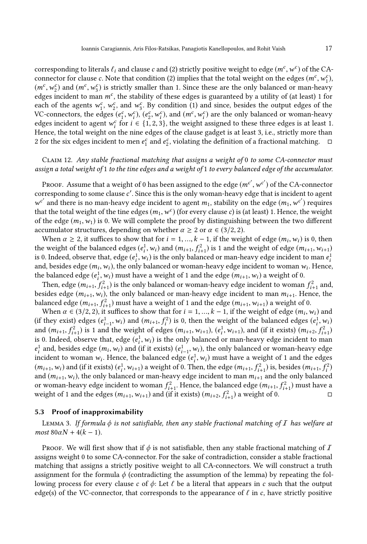corresponding to literals  $\ell_i$  and clause  $c$  and (2) strictly positive weight to edge  $(m^c, w^c)$  of the CAconnector for clause c. Note that condition (2) implies that the total weight on the edges  $(m^c, w^c)$ ,  $(m^c, w_2^c)$  and  $(m^c, w_3^c)$  is strictly smaller than 1. Since these are the only balanced or man-heavy edges incident to man  $m^c$ , the stability of these edges is guaranteed by a utility of (at least) 1 for each of the agents  $w_1^c$ ,  $w_2^c$ , and  $w_3^c$ . By condition (1) and since, besides the output edges of the VC-connectors, the edges  $(e_1^c, w_i^c)$ ,  $(e_2^c, w_i^c)$ , and  $(m^c, w_i^c)$  are the only balanced or woman-heavy edges incident to agent  $w_i^c$  for  $i \in \{1, 2, 3\}$ , the weight assigned to these three edges is at least 1. Hence, the total weight on the nine edges of the clause gadget is at least 3, i.e., strictly more than 2 for the six edges incident to men  $e_1^c$  and  $e_2^c$ , violating the definition of a fractional matching.  $\Box$ 

# <span id="page-16-1"></span>Claim 12. Any stable fractional matching that assigns a weight of 0 to some CA-connector must assign a total weight of 1 to the tine edges and a weight of 1 to every balanced edge of the accumulator.

Proof. Assume that a weight of 0 has been assigned to the edge  $(m^{c'},w^{c'})$  of the CA-connector corresponding to some clause c'. Since this is the only woman-heavy edge that is incident to agent  $w^{c'}$  and there is no man-heavy edge incident to agent  $m_1$ , stability on the edge  $(m_1, w^{c'})$  requires that the total weight of the tine edges  $(m_1, w^c)$  (for every clause  $c$ ) is (at least) 1. Hence, the weight of the edge  $(m_1, w_1)$  is 0. We will complete the proof by distinguishing between the two different accumulator structures, depending on whether  $\alpha \geq 2$  or  $\alpha \in (3/2, 2)$ .

When  $\alpha \ge 2$ , it suffices to show that for  $i = 1, ..., k - 1$ , if the weight of edge  $(m_i, w_i)$  is 0, then the weight of the balanced edges  $(e_i^1, w_i)$  and  $(m_{i+1}, f_{i+1}^2)$  is 1 and the weight of edge  $(m_{i+1}, w_{i+1})$ is 0. Indeed, observe that, edge  $(e_i^1, w_i)$  is the only balanced or man-heavy edge incident to man  $e_i^1$ and, besides edge  $(m_i, w_i)$ , the only balanced or woman-heavy edge incident to woman  $w_i$ . Hence, the balanced edge  $(e_i^1, w_i)$  must have a weight of 1 and the edge  $(m_{i+1}, w_i)$  a weight of 0.

Then, edge  $(m_{i+1}, f_{i+1}^2)$  is the only balanced or woman-heavy edge incident to woman  $f_{i+1}^2$  and, besides edge  $(m_{i+1}, w_i)$ , the only balanced or man-heavy edge incident to man  $m_{i+1}$ . Hence, the balanced edge  $(m_{i+1}, f_{i+1}^2)$  must have a weight of 1 and the edge  $(m_{i+1}, w_{i+1})$  a weight of 0.

When  $\alpha \in (3/2, 2)$ , it suffices to show that for  $i = 1, ..., k - 1$ , if the weight of edge  $(m_i, w_i)$  and (if they exist) edges  $(e_{i-1}^1, w_i)$  and  $(m_{i+1}, f_i^2)$  is 0, then the weight of the balanced edges  $(e_i^1, w_i)$ and  $(m_{i+1}, f_{i+1}^2)$  is 1 and the weight of edges  $(m_{i+1}, w_{i+1}), (e_i^1, w_{i+1}),$  and (if it exists)  $(m_{i+2}, f_{i+1}^2)$ is 0. Indeed, observe that, edge  $(e_i^1, w_i)$  is the only balanced or man-heavy edge incident to man  $e_i^1$  and, besides edge  $(m_i, w_i)$  and (if it exists)  $(e_{i-1}^1, w_i)$ , the only balanced or woman-heavy edge incident to woman  $w_i$ . Hence, the balanced edge  $(e_i^1, w_i)$  must have a weight of 1 and the edges  $(m_{i+1}, w_i)$  and (if it exists)  $(e_i^1, w_{i+1})$  a weight of 0. Then, the edge  $(m_{i+1}, f_{i+1}^2)$  is, besides  $(m_{i+1}, f_i^2)$ and  $(m_{i+1}, w_i)$ , the only balanced or man-heavy edge incident to man  $m_{i+1}$  and the only balanced or woman-heavy edge incident to woman  $f_{i+1}^2$ . Hence, the balanced edge  $(m_{i+1}, f_{i+1}^2)$  must have a weight of 1 and the edges  $(m_{i+1}, w_{i+1})$  and (if it exists)  $(m_{i+2}, f_{i+1}^2)$  a weight of 0.

# <span id="page-16-2"></span><span id="page-16-0"></span>5.3 Proof of inapproximability

LEMMA 3. If formula  $\phi$  is not satisfiable, then any stable fractional matching of  $I$  has welfare at most  $80\alpha N + 4(k - 1)$ .

Proof. We will first show that if  $\phi$  is not satisfiable, then any stable fractional matching of  $I$ assigns weight 0 to some CA-connector. For the sake of contradiction, consider a stable fractional matching that assigns a strictly positive weight to all CA-connectors. We will construct a truth assignment for the formula  $\phi$  (contradicting the assumption of the lemma) by repeating the following process for every clause c of  $\phi$ : Let  $\ell$  be a literal that appears in c such that the output edge(s) of the VC-connector, that corresponds to the appearance of  $\ell$  in c, have strictly positive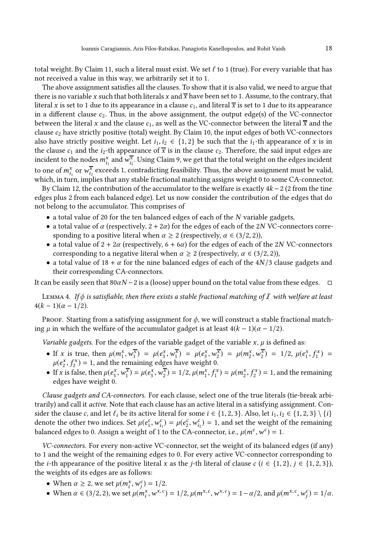total weight. By Claim [11,](#page-15-0) such a literal must exist. We set  $\ell$  to 1 (true). For every variable that has not received a value in this way, we arbitrarily set it to 1.

The above assignment satisfies all the clauses. To show that it is also valid, we need to argue that there is no variable x such that both literals x and  $\overline{x}$  have been set to 1. Assume, to the contrary, that literal x is set to 1 due to its appearance in a clause  $c_1$ , and literal  $\overline{x}$  is set to 1 due to its appearance in a different clause  $c_2$ . Thus, in the above assignment, the output edge(s) of the VC-connector between the literal x and the clause  $c_1$ , as well as the VC-connector between the literal  $\overline{x}$  and the clause  $c_2$  have strictly positive (total) weight. By Claim [10,](#page-15-1) the input edges of both VC-connectors also have strictly positive weight. Let  $i_1, i_2 \in \{1, 2\}$  be such that the  $i_1$ -th appearance of x is in the clause  $c_1$  and the  $i_2$ -th appearance of  $\bar{x}$  is in the clause  $c_2$ . Therefore, the said input edges are incident to the nodes  $m_{i_1}^x$  and  $w_{i_2}^x$ . Using Claim [9,](#page-14-2) we get that the total weight on the edges incident to one of  $m_{i_1}^x$  or  $w_{i_2}^{\overline{x}}$  exceeds 1, contradicting feasibility. Thus, the above assignment must be valid, which, in turn, implies that any stable fractional matching assigns weight 0 to some CA-connector.

By Claim [12,](#page-16-1) the contribution of the accumulator to the welfare is exactly  $4k - 2$  (2 from the tine edges plus 2 from each balanced edge). Let us now consider the contribution of the edges that do not belong to the accumulator. This comprises of

- a total value of 20 for the ten balanced edges of each of the  $N$  variable gadgets,
- a total value of  $\alpha$  (respectively,  $2 + 2\alpha$ ) for the edges of each of the 2N VC-connectors corresponding to a positive literal when  $\alpha \geq 2$  (respectively,  $\alpha \in (3/2, 2)$ ),
- a total value of  $2 + 2\alpha$  (respectively,  $6 + 6\alpha$ ) for the edges of each of the 2N VC-connectors corresponding to a negative literal when  $\alpha \geq 2$  (respectively,  $\alpha \in (3/2, 2)$ ),
- a total value of 18 +  $\alpha$  for the nine balanced edges of each of the 4N/3 clause gadgets and their corresponding CA-connectors.

<span id="page-17-0"></span>It can be easily seen that 80αN −2 is a (loose) upper bound on the total value from these edges.  $□$ 

LEMMA 4. If  $\phi$  is satisfiable, then there exists a stable fractional matching of  $I$  with welfare at least  $4(k-1)(\alpha-1/2)$ .

Proof. Starting from a satisfying assignment for  $\phi$ , we will construct a stable fractional matching  $\mu$  in which the welfare of the accumulator gadget is at least  $4(k-1)(\alpha-1/2)$ .

Variable gadgets. For the edges of the variable gadget of the variable  $x, \mu$  is defined as:

- If x is true, then  $\mu(m_1^x, w_1^{\overline{x}}) = \mu(e_3^x, w_1^{\overline{x}}) = \mu(e_3^x, w_2^{\overline{x}}) = \mu(m_2^x, w_2^{\overline{x}}) = 1/2, \mu(e_1^x, f_1^x) =$  $\mu(e_2^x, f_2^x) = 1$ , and the remaining edges have weight 0.
- If x is false, then  $\mu(e_3^x, w_1^{\overline{x}}) = \mu(e_3^x, w_2^{\overline{x}}) = 1/2$ ,  $\mu(m_1^x, f_1^x) = \mu(m_2^x, f_2^x) = 1$ , and the remaining edges have weight 0.

Clause gadgets and CA-connectors. For each clause, select one of the true literals (tie-break arbitrarily) and call it active. Note that each clause has an active literal in a satisfying assignment. Consider the clause c, and let  $\ell_i$  be its active literal for some  $i \in \{1, 2, 3\}$ . Also, let  $i_1, i_2 \in \{1, 2, 3\} \setminus \{i\}$ denote the other two indices. Set  $\mu(e_1^c, w_{i_1}^c) = \mu(e_2^c, w_{i_2}^c) = 1$ , and set the weight of the remaining balanced edges to 0. Assign a weight of 1 to the CA-connector, i.e.,  $\mu(m^c, w^c) = 1$ .

VC-connectors. For every non-active VC-connector, set the weight of its balanced edges (if any) to 1 and the weight of the remaining edges to 0. For every active VC-connector corresponding to the *i*-th appearance of the positive literal x as the *j*-th literal of clause c ( $i \in \{1, 2\}, j \in \{1, 2, 3\}$ ), the weights of its edges are as follows:

- When  $\alpha \ge 2$ , we set  $\mu(m_i^x, w_j^c) = 1/2$ .
- When  $\alpha \in (3/2, 2)$ , we set  $\mu(m_i^x, w^{x, c}) = 1/2$ ,  $\mu(m^{x, c}, w^{x, c}) = 1 \alpha/2$ , and  $\mu(m^{x, c}, w_j^c) = 1/\alpha$ .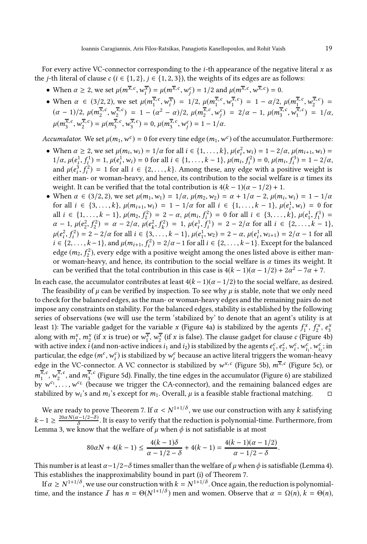For every active VC-connector corresponding to the  $i$ -th appearance of the negative literal  $x$  as the *j*-th literal of clause  $c$  ( $i \in \{1, 2\}$ ,  $j \in \{1, 2, 3\}$ ), the weights of its edges are as follows:

- When  $\alpha \ge 2$ , we set  $\mu(m^{\overline{x},c}, w_i^{\overline{x}}) = \mu(m^{\overline{x},c}, w_i^c) = 1/2$  and  $\mu(m^{\overline{x},c}, w^{\overline{x},c}) = 0$ .  $i = \mu(m, w_j)$
- When  $\alpha \in (3/2, 2)$ , we set  $\mu(m_i^{\overline{x}, c}, w_i^{\overline{x}}) = 1/2$ ,  $\mu(m_i^{\overline{x}, c}, w_i^{\overline{x}, c}) = 1 \alpha/2$ ,  $\mu(m_i^{\overline{x}, c}, w_i^{\overline{x}, c}) =$  $(\alpha - 1)/2, \ \mu(m_2^{\overline{x},c}, w_2^{\overline{x},c}) = 1 - (\alpha^2 - \alpha)/2, \ \mu(m_2^{\overline{x},c}, w_j^c) = 2/\alpha - 1, \ \mu(m_3^{\overline{x},c}, w_1^{\overline{x},c}) = 1/\alpha,$  $\mu(m_3^{\overline{x},c}, w_2^{\overline{x},c}) = \mu(m_3^{\overline{x},c}, w_3^{\overline{x},c}) = 0, \mu(m_3^{\overline{x},c}, w_j^c) = 1 - 1/\alpha.$

Accumulator. We set  $\mu(m_1, w^c) = 0$  for every tine edge  $(m_1, w^c)$  of the accumulator. Furthermore:

- When  $\alpha \ge 2$ , we set  $\mu(m_i, w_i) = 1/\alpha$  for all  $i \in \{1, ..., k\}$ ,  $\mu(e_i^2, w_i) = 1 2/\alpha$ ,  $\mu(m_{i+1}, w_i) =$ when  $a \ge 2$ , we set  $\mu(m_i, w_i) = 1/a$  for all  $i \in \{1, ..., k, f\}$ ,  $\mu(e_i^1, w_i^1) = 1 - 2/a$ ,  $\mu(m_{i+1}, w_i^1) = 1/a$ ,  $\mu(e_i^1, f_i^1) = 1$ ,  $\mu(e_i^1, w_i) = 0$  for all  $i \in \{1, ..., k-1\}$ ,  $\mu(m_i, f_i^2) = 0$ ,  $\mu(m_i, f_i^3) = 1 - 2/a$ , and  $\mu(e_i^3, f_i^2) = 1$  for all  $i \in \{2, ..., k\}$ . Among these, any edge with a positive weight is either man- or woman-heavy, and hence, its contribution to the social welfare is  $\alpha$  times its weight. It can be verified that the total contribution is  $4(k-1)(\alpha-1/2)+1$ .
- When  $\alpha \in (3/2, 2)$ , we set  $\mu(m_1, w_1) = 1/\alpha$ ,  $\mu(m_2, w_2) = \alpha + 1/\alpha 2$ ,  $\mu(m_i, w_i) = 1 1/\alpha$ for all  $i \in \{3, ..., k\}$ ,  $\mu(m_{i+1}, w_i) = 1 - 1/\alpha$  for all  $i \in \{1, ..., k-1\}$ ,  $\mu(e_i^1, w_i) = 0$  for all  $i \in \{1, ..., k-1\}$ ,  $\mu(m_2, f_2^2) = 2 - \alpha$ ,  $\mu(m_i, f_i^2) = 0$  for all  $i \in \{3, ..., k\}$ ,  $\mu(e_1^1, f_1^1) =$  $\alpha - 1$ ,  $\mu(e_2^2, f_2^2) = \alpha - 2/\alpha$ ,  $\mu(e_k^2, f_k^2) = 1$ ,  $\mu(e_i^1, f_i^1) = 2 - 2/\alpha$  for all  $i \in \{2, ..., k-1\}$ ,  $\mu(e_i^2, f_i^2) = 2 - 2/\alpha$  for all  $i \in \{3, ..., k-1\}$ ,  $\mu(e_1^1, w_2) = 2 - \alpha$ ,  $\mu(e_i^1, w_{i+1}) = 2/\alpha - 1$  for all  $i \in \{2,\ldots,k-1\}$ , and  $\mu(m_{i+1},f_i^2) = 2/\alpha - 1$  for all  $i \in \{2,\ldots,k-1\}$ . Except for the balanced edge  $(m_2, f_2^2)$ , every edge with a positive weight among the ones listed above is either manor woman-heavy, and hence, its contribution to the social welfare is  $\alpha$  times its weight. It can be verified that the total contribution in this case is  $4(k-1)(\alpha-1/2) + 2\alpha^2 - 7\alpha + 7$ .

In each case, the accumulator contributes at least  $4(k-1)(\alpha-1/2)$  to the social welfare, as desired.

The feasibility of  $\mu$  can be verified by inspection. To see why  $\mu$  is stable, note that we only need to check for the balanced edges, as the man- or woman-heavy edges and the remaining pairs do not impose any constraints on stability. For the balanced edges, stability is established by the following series of observations (we will use the term 'stabilized by' to denote that an agent's utility is at least 1): The variable gadget for the variable x (Figure [4a\)](#page-12-0) is stabilized by the agents  $f_1^x$ ,  $f_2^x$ ,  $e_3^x$ along with  $m_1^x$ ,  $m_2^x$  (if x is true) or  $w_1^x$ ,  $w_2^x$  (if x is false). The clause gadget for clause  $c$  (Figure [4b\)](#page-12-0) with active index *i* (and non-active indices  $i_1$  and  $i_2$ ) is stabilized by the agents  $e_1^c, e_2^c, w_i^c, w_{i_1}^c, w_{i_2}^c$ ; in particular, the edge  $(m^c, w_i^c)$  is stabilized by  $w_i^c$  because an active literal triggers the woman-heavy edge in the VC-connector. A VC connector is stabilized by  $w^{x,\,c}$  (Figure [5b\)](#page-13-0),  $m^{\overline{x},\,c}$  (Figure [5c\)](#page-13-0), or  $m_1^{\overline{x},c}$ ,  $w_2^{\overline{x},c}$ , and  $m_3^{\overline{x},c}$  (Figure [5d\)](#page-13-0). Finally, the tine edges in the accumulator (Figure [6\)](#page-14-1) are stabilized by  $w^{c_1}, \ldots, w^{c_L}$  (because we trigger the CA-connector), and the remaining balanced edges are stabilized by  $w_i$ 's and  $m_i$ 's except for  $m_1$ . Overall,  $\mu$  is a feasible stable fractional matching.  $\Box$ 

We are ready to prove Theorem [7.](#page-11-1) If  $\alpha < N^{1+1/\delta}$ , we use our construction with any  $k$  satisfying  $k-1 \geq \frac{20\alpha N(\alpha-1/2-\delta)}{\delta}$  $\frac{S^{2}-1}{2}$ . It is easy to verify that the reduction is polynomial-time. Furthermore, from Lemma [3,](#page-16-2) we know that the welfare of  $\mu$  when  $\phi$  is not satisfiable is at most

$$
80\alpha N + 4(k - 1) \le \frac{4(k - 1)\delta}{\alpha - 1/2 - \delta} + 4(k - 1) = \frac{4(k - 1)(\alpha - 1/2)}{\alpha - 1/2 - \delta}.
$$

This number is at least  $\alpha-1/2-\delta$  times smaller than the welfare of  $\mu$  when  $\phi$  is satisfiable (Lemma [4\)](#page-17-0). This establishes the inapproximability bound in part (i) of Theorem [7.](#page-11-1)

If  $\alpha \ge N^{1+1/\delta}$ , we use our construction with  $k = N^{1+1/\delta}$ . Once again, the reduction is polynomialtime, and the instance *I* has  $n = \Theta(N^{1+1/\delta})$  men and women. Observe that  $\alpha = \Omega(n)$ ,  $k = \Theta(n)$ ,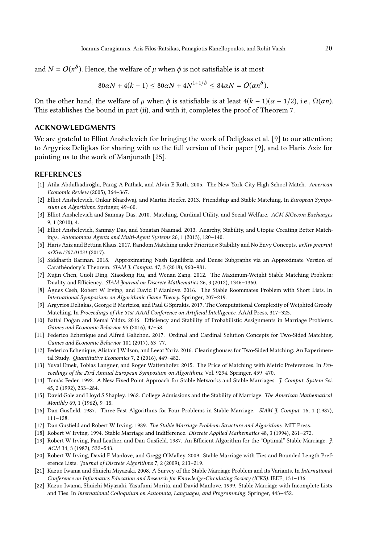and  $N = O(n^{\delta})$ . Hence, the welfare of  $\mu$  when  $\phi$  is not satisfiable is at most

$$
80\alpha N + 4(k - 1) \le 80\alpha N + 4N^{1+1/\delta} \le 84\alpha N = O(\alpha n^{\delta}).
$$

On the other hand, the welfare of  $\mu$  when  $\phi$  is satisfiable is at least  $4(k-1)(\alpha-1/2)$ , i.e.,  $\Omega(\alpha n)$ . This establishes the bound in part (ii), and with it, completes the proof of Theorem [7.](#page-11-1)

# ACKNOWLEDGMENTS

We are grateful to Elliot Anshelevich for bringing the work of [Deligkas et al. \[9](#page-19-17)] to our attention; to Argyrios Deligkas for sharing with us the full version of their paper [\[9\]](#page-19-17), and to Haris Aziz for pointing us to the work of [Manjunath \[25](#page-20-13)].

### REFERENCES

- <span id="page-19-1"></span>[1] Atila Abdulkadiroğlu, Parag A Pathak, and Alvin E Roth. 2005. The New York City High School Match. American Economic Review (2005), 364–367.
- <span id="page-19-15"></span>[2] Elliot Anshelevich, Onkar Bhardwaj, and Martin Hoefer. 2013. Friendship and Stable Matching. In European Symposium on Algorithms. Springer, 49–60.
- <span id="page-19-2"></span>[3] Elliot Anshelevich and Sanmay Das. 2010. Matching, Cardinal Utility, and Social Welfare. ACM SIGecom Exchanges 9, 1 (2010), 4.
- <span id="page-19-14"></span>[4] Elliot Anshelevich, Sanmay Das, and Yonatan Naamad. 2013. Anarchy, Stability, and Utopia: Creating Better Matchings. Autonomous Agents and Multi-Agent Systems 26, 1 (2013), 120–140.
- <span id="page-19-18"></span>[5] Haris Aziz and Bettina Klaus. 2017. Random Matching under Priorities: Stability and No Envy Concepts. arXiv preprint arXiv:1707.01231 (2017).
- <span id="page-19-21"></span>[6] Siddharth Barman. 2018. Approximating Nash Equilibria and Dense Subgraphs via an Approximate Version of Carathéodory's Theorem. SIAM J. Comput. 47, 3 (2018), 960–981.
- <span id="page-19-12"></span>[7] Xujin Chen, Guoli Ding, Xiaodong Hu, and Wenan Zang. 2012. The Maximum-Weight Stable Matching Problem: Duality and Efficiency. SIAM Journal on Discrete Mathematics 26, 3 (2012), 1346–1360.
- <span id="page-19-7"></span>[8] Ágnes Cseh, Robert W Irving, and David F Manlove. 2016. The Stable Roommates Problem with Short Lists. In International Symposium on Algorithmic Game Theory. Springer, 207–219.
- <span id="page-19-17"></span>[9] Argyrios Deligkas, George B Mertzios, and Paul G Spirakis. 2017. The Computational Complexity of Weighted Greedy Matching. In Proceedings of the 31st AAAI Conference on Artificial Intelligence. AAAI Press, 317–325.
- <span id="page-19-19"></span>[10] Battal Doğan and Kemal Yıldız. 2016. Efficiency and Stability of Probabilistic Assignments in Marriage Problems. Games and Economic Behavior 95 (2016), 47–58.
- <span id="page-19-20"></span>[11] Federico Echenique and Alfred Galichon. 2017. Ordinal and Cardinal Solution Concepts for Two-Sided Matching. Games and Economic Behavior 101 (2017), 63–77.
- <span id="page-19-3"></span>[12] Federico Echenique, Alistair J Wilson, and Leeat Yariv. 2016. Clearinghouses for Two-Sided Matching: An Experimental Study. Quantitative Economics 7, 2 (2016), 449–482.
- <span id="page-19-16"></span>[13] Yuval Emek, Tobias Langner, and Roger Wattenhofer. 2015. The Price of Matching with Metric Preferences. In Proceedings of the 23rd Annual European Symposium on Algorithms, Vol. 9294. Springer, 459–470.
- <span id="page-19-13"></span>[14] Tomás Feder. 1992. A New Fixed Point Approach for Stable Networks and Stable Marriages. J. Comput. System Sci. 45, 2 (1992), 233–284.
- <span id="page-19-0"></span>[15] David Gale and Lloyd S Shapley. 1962. College Admissions and the Stability of Marriage. The American Mathematical Monthly 69, 1 (1962), 9–15.
- <span id="page-19-4"></span>[16] Dan Gusfield. 1987. Three Fast Algorithms for Four Problems in Stable Marriage. SIAM J. Comput. 16, 1 (1987), 111–128.
- <span id="page-19-6"></span>[17] Dan Gusfield and Robert W Irving. 1989. The Stable Marriage Problem: Structure and Algorithms. MIT Press.
- <span id="page-19-8"></span>[18] Robert W Irving. 1994. Stable Marriage and Indifference. Discrete Applied Mathematics 48, 3 (1994), 261–272.
- <span id="page-19-5"></span>[19] Robert W Irving, Paul Leather, and Dan Gusfield. 1987. An Efficient Algorithm for the "Optimal" Stable Marriage. J. ACM 34, 3 (1987), 532–543.
- <span id="page-19-9"></span>[20] Robert W Irving, David F Manlove, and Gregg O'Malley. 2009. Stable Marriage with Ties and Bounded Length Preference Lists. Journal of Discrete Algorithms 7, 2 (2009), 213–219.
- <span id="page-19-11"></span>[21] Kazuo Iwama and Shuichi Miyazaki. 2008. A Survey of the Stable Marriage Problem and its Variants. In International Conference on Informatics Education and Research for Knowledge-Circulating Society (ICKS). IEEE, 131–136.
- <span id="page-19-10"></span>[22] Kazuo Iwama, Shuichi Miyazaki, Yasufumi Morita, and David Manlove. 1999. Stable Marriage with Incomplete Lists and Ties. In International Colloquium on Automata, Languages, and Programming. Springer, 443–452.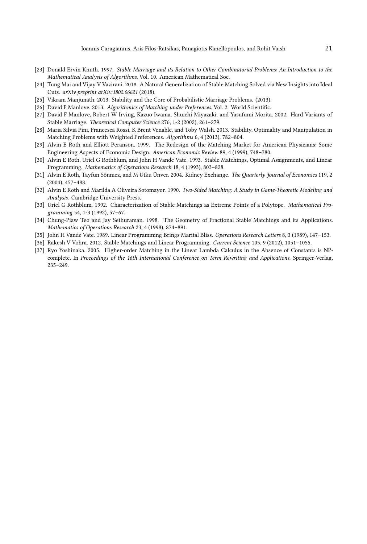- <span id="page-20-4"></span>[23] Donald Ervin Knuth. 1997. Stable Marriage and its Relation to Other Combinatorial Problems: An Introduction to the Mathematical Analysis of Algorithms. Vol. 10. American Mathematical Soc.
- <span id="page-20-12"></span>[24] Tung Mai and Vijay V Vazirani. 2018. A Natural Generalization of Stable Matching Solved via New Insights into Ideal Cuts. arXiv preprint arXiv:1802.06621 (2018).
- <span id="page-20-13"></span>[25] Vikram Manjunath. 2013. Stability and the Core of Probabilistic Marriage Problems. (2013).
- <span id="page-20-7"></span>[26] David F Manlove. 2013. Algorithmics of Matching under Preferences. Vol. 2. World Scientific.
- <span id="page-20-5"></span>[27] David F Manlove, Robert W Irving, Kazuo Iwama, Shuichi Miyazaki, and Yasufumi Morita. 2002. Hard Variants of Stable Marriage. Theoretical Computer Science 276, 1-2 (2002), 261–279.
- <span id="page-20-3"></span>[28] Maria Silvia Pini, Francesca Rossi, K Brent Venable, and Toby Walsh. 2013. Stability, Optimality and Manipulation in Matching Problems with Weighted Preferences. Algorithms 6, 4 (2013), 782–804.
- <span id="page-20-0"></span>[29] Alvin E Roth and Elliott Peranson. 1999. The Redesign of the Matching Market for American Physicians: Some Engineering Aspects of Economic Design. American Economic Review 89, 4 (1999), 748–780.
- <span id="page-20-2"></span>[30] Alvin E Roth, Uriel G Rothblum, and John H Vande Vate. 1993. Stable Matchings, Optimal Assignments, and Linear Programming. Mathematics of Operations Research 18, 4 (1993), 803–828.
- <span id="page-20-1"></span>[31] Alvin E Roth, Tayfun Sönmez, and M Utku Ünver. 2004. Kidney Exchange. The Quarterly Journal of Economics 119, 2 (2004), 457–488.
- <span id="page-20-8"></span>[32] Alvin E Roth and Marilda A Oliveira Sotomayor. 1990. Two-Sided Matching: A Study in Game-Theoretic Modeling and Analysis. Cambridge University Press.
- <span id="page-20-10"></span>[33] Uriel G Rothblum. 1992. Characterization of Stable Matchings as Extreme Points of a Polytope. Mathematical Programming 54, 1-3 (1992), 57–67.
- <span id="page-20-6"></span>[34] Chung-Piaw Teo and Jay Sethuraman. 1998. The Geometry of Fractional Stable Matchings and its Applications. Mathematics of Operations Research 23, 4 (1998), 874–891.
- <span id="page-20-9"></span>[35] John H Vande Vate. 1989. Linear Programming Brings Marital Bliss. Operations Research Letters 8, 3 (1989), 147–153.
- <span id="page-20-11"></span>[36] Rakesh V Vohra. 2012. Stable Matchings and Linear Programming. Current Science 105, 9 (2012), 1051–1055.
- <span id="page-20-14"></span>[37] Ryo Yoshinaka. 2005. Higher-order Matching in the Linear Lambda Calculus in the Absence of Constants is NPcomplete. In Proceedings of the 16th International Conference on Term Rewriting and Applications. Springer-Verlag, 235–249.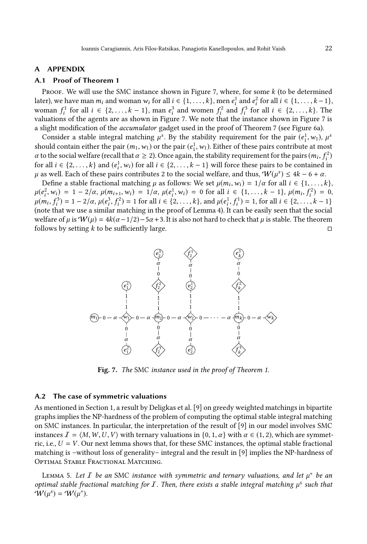### <span id="page-21-3"></span><span id="page-21-1"></span>A APPENDIX

# A.1 Proof of Theorem [1](#page-5-1)

PROOF. We will use the SMC instance shown in Figure [7,](#page-21-2) where, for some  $k$  (to be determined later), we have man  $m_i$  and woman  $w_i$  for all  $i \in \{1, ..., k\}$ , men  $e_i^1$  and  $e_i^2$  for all  $i \in \{1, ..., k-1\}$ , woman  $f_i^1$  for all  $i \in \{2, ..., k-1\}$ , man  $e_i^3$  and women  $f_i^2$  and  $f_i^3$  for all  $i \in \{2, ..., k\}$ . The valuations of the agents are as shown in Figure [7.](#page-21-2) We note that the instance shown in Figure [7](#page-21-2) is a slight modification of the accumulator gadget used in the proof of Theorem [7](#page-11-1) (see Figure [6a](#page-14-1)).

Consider a stable integral matching  $\mu^s$ . By the stability requirement for the pair  $(e_1^1, w_1)$ ,  $\mu^s$ should contain either the pair  $(m_1, w_1)$  or the pair  $(e_1^1, w_1)$ . Either of these pairs contribute at most  $\alpha$  to the social welfare (recall that  $\alpha \ge 2$ ). Once again, the stability requirement for the pairs  $(m_i, f_i^2)$ for all  $i \in \{2, ..., k\}$  and  $(e_i^1, w_i)$  for all  $i \in \{2, ..., k-1\}$  will force these pairs to be contained in  $\mu$  as well. Each of these pairs contributes 2 to the social welfare, and thus,  $W(\mu^s)$  ≤ 4k − 6 + α.

Define a stable fractional matching  $\mu$  as follows: We set  $\mu(m_i, w_i) = 1/\alpha$  for all  $i \in \{1, ..., k\}$ ,  $\mu(e_i^2, w_i) = 1 - 2/\alpha$ ,  $\mu(m_{i+1}, w_i) = 1/\alpha$ ,  $\mu(e_i^1, w_i) = 0$  for all  $i \in \{1, ..., k-1\}$ ,  $\mu(m_i, f_i^2) = 0$ ,  $\mu(m_i, f_i^3) = 1 - 2/\alpha$ ,  $\mu(e_i^3, f_i^2) = 1$  for all  $i \in \{2, ..., k\}$ , and  $\mu(e_i^1, f_i^1) = 1$ , for all  $i \in \{2, ..., k-1\}$ (note that we use a similar matching in the proof of Lemma [4\)](#page-17-0). It can be easily seen that the social welfare of  $\mu$  is W( $\mu$ ) = 4k( $\alpha$  – 1/2) – 5 $\alpha$  + 3. It is also not hard to check that  $\mu$  is stable. The theorem follows by setting k to be sufficiently large.

<span id="page-21-2"></span>

Fig. 7. The SMC instance used in the proof of Theorem [1.](#page-5-1)

#### <span id="page-21-0"></span>A.2 The case of symmetric valuations

As mentioned in Section [1,](#page-21-3) a result by Deligkas et al. [\[9](#page-19-17)] on greedy weighted matchings in bipartite graphs implies the NP-hardness of the problem of computing the optimal stable integral matching on SMC instances. In particular, the interpretation of the result of [\[9](#page-19-17)] in our model involves SMC instances  $\mathcal{I} = \langle M, W, U, V \rangle$  with ternary valuations in  $\{0, 1, \alpha\}$  with  $\alpha \in (1, 2)$ , which are symmetric, i.e.,  $U = V$ . Our next lemma shows that, for these SMC instances, the optimal stable fractional matching is –without loss of generality– integral and the result in [\[9](#page-19-17)] implies the NP-hardness of Optimal Stable Fractional Matching.

<span id="page-21-4"></span>LEMMA 5. Let  $\overline{I}$  be an SMC instance with symmetric and ternary valuations, and let  $\mu^*$  be an optimal stable fractional matching for  $I$ . Then, there exists a stable integral matching  $\mu^s$  such that  $\mathbf{\hat{W}}(\mathbf{\mu}^s) = \mathbf{\hat{W}}(\mathbf{\mu}^s).$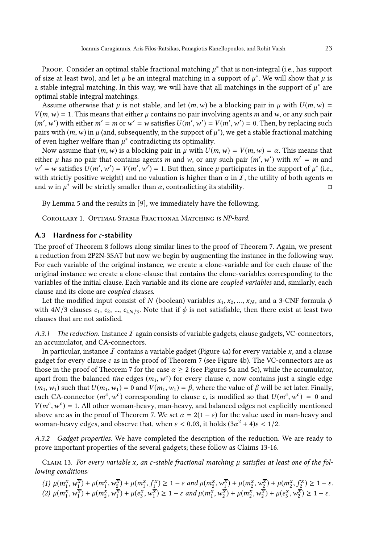Proof. Consider an optimal stable fractional matching  $\mu^*$  that is non-integral (i.e., has support of size at least two), and let  $\mu$  be an integral matching in a support of  $\mu^*$ . We will show that  $\mu$  is a stable integral matching. In this way, we will have that all matchings in the support of  $\mu^*$  are optimal stable integral matchings.

Assume otherwise that  $\mu$  is not stable, and let  $(m, w)$  be a blocking pair in  $\mu$  with  $U(m, w)$  =  $V(m, w) = 1$ . This means that either  $\mu$  contains no pair involving agents m and w, or any such pair  $(m', w')$  with either  $m' = m$  or  $w' = w$  satisfies  $U(m', w') = V(m', w') = 0$ . Then, by replacing such pairs with  $(m, w)$  in  $\mu$  (and, subsequently, in the support of  $\mu^*$ ), we get a stable fractional matching of even higher welfare than  $\mu^*$  contradicting its optimality.

Now assume that  $(m, w)$  is a blocking pair in  $\mu$  with  $U(m, w) = V(m, w) = \alpha$ . This means that either  $\mu$  has no pair that contains agents m and w, or any such pair  $(m', w')$  with  $m' = m$  and  $w' = w$  satisfies  $U(m', w') = V(m', w') = 1$ . But then, since  $\mu$  participates in the support of  $\mu^*$  (i.e., with strictly positive weight) and no valuation is higher than  $\alpha$  in  $\overline{I}$ , the utility of both agents m and w in  $\mu^*$  will be strictly smaller than  $\alpha$ , contradicting its stability.

By Lemma [5](#page-21-4) and the results in [\[9\]](#page-19-17), we immediately have the following.

<span id="page-22-0"></span>Corollary 1. Optimal Stable Fractional Matching is NP-hard.

### A.3 Hardness for  $\varepsilon$ -stability

The proof of Theorem [8](#page-11-2) follows along similar lines to the proof of Theorem [7.](#page-11-1) Again, we present a reduction from 2P2N-3SAT but now we begin by augmenting the instance in the following way. For each variable of the original instance, we create a clone-variable and for each clause of the original instance we create a clone-clause that contains the clone-variables corresponding to the variables of the initial clause. Each variable and its clone are coupled variables and, similarly, each clause and its clone are coupled clauses.

Let the modified input consist of N (boolean) variables  $x_1, x_2, ..., x_N$ , and a 3-CNF formula  $\phi$ with  $4N/3$  clauses  $c_1$ ,  $c_2$ , ...,  $c_{4N/3}$ . Note that if  $\phi$  is not satisfiable, then there exist at least two clauses that are not satisfied.

A.3.1 The reduction. Instance  $I$  again consists of variable gadgets, clause gadgets, VC-connectors, an accumulator, and CA-connectors.

In particular, instance  $\bar{I}$  contains a variable gadget (Figure [4a\)](#page-12-0) for every variable x, and a clause gadget for every clause c as in the proof of Theorem [7](#page-11-1) (see Figure [4b\)](#page-12-0). The VC-connectors are as those in the proof of Theorem [7](#page-11-1) for the case  $\alpha \geq 2$  (see Figures [5a](#page-13-0) and [5c](#page-13-0)), while the accumulator, apart from the balanced tine edges  $(m_1, w^c)$  for every clause c, now contains just a single edge  $(m_1, w_1)$  such that  $U(m_1, w_1) = 0$  and  $V(m_1, w_1) = \beta$ , where the value of  $\beta$  will be set later. Finally, each CA-connector  $(m^c, w^c)$  corresponding to clause c, is modified so that  $U(m^c, w^c) = 0$  and  $V(m^c, w^c) = 1$ . All other woman-heavy, man-heavy, and balanced edges not explicitly mentioned above are as in the proof of Theorem [7.](#page-11-1) We set  $\alpha = 2(1 - \varepsilon)$  for the value used in man-heavy and woman-heavy edges, and observe that, when  $\varepsilon < 0.03$ , it holds  $(3\alpha^2 + 4)\varepsilon < 1/2$ .

<span id="page-22-1"></span>A.3.2 Gadget properties. We have completed the description of the reduction. We are ready to prove important properties of the several gadgets; these follow as Claims [13-](#page-22-1)[16.](#page-23-0)

CLAIM 13. For every variable x, an  $\varepsilon$ -stable fractional matching  $\mu$  satisfies at least one of the following conditions:

$$
(1) \ \mu(m_1^x, w_1^{\overline{x}}) + \mu(m_1^x, w_2^{\overline{x}}) + \mu(m_1^x, f_1^{\overline{x}}) \ge 1 - \varepsilon \text{ and } \mu(m_2^x, w_1^{\overline{x}}) + \mu(m_2^x, w_2^{\overline{x}}) + \mu(m_2^x, f_2^{\overline{x}}) \ge 1 - \varepsilon.
$$
  

$$
(2) \ \mu(m_1^x, w_1^{\overline{x}}) + \mu(m_2^x, w_1^{\overline{x}}) + \mu(e_3^x, w_1^{\overline{x}}) \ge 1 - \varepsilon \text{ and } \mu(m_1^x, w_2^{\overline{x}}) + \mu(m_2^x, w_2^{\overline{x}}) + \mu(e_3^x, w_2^{\overline{x}}) \ge 1 - \varepsilon.
$$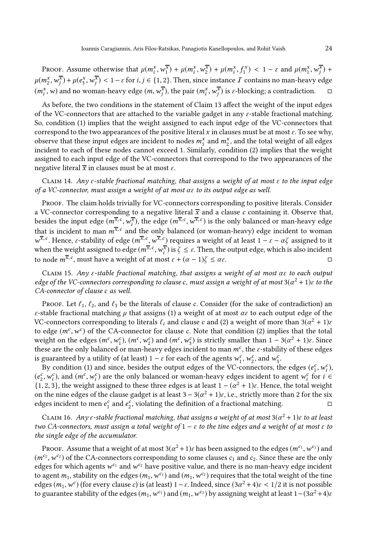PROOF. Assume otherwise that  $\mu(m_i^x, w_1^{\overline{x}}) + \mu(m_i^x, w_2^{\overline{x}}) + \mu(m_i^x, f_1^x) < 1 - \varepsilon$  and  $\mu(m_1^x, w_j^{\overline{x}}) +$  $\mu(m_2^{\rm x},w_j^{\overline{\rm x}})+\mu(e_3^{\rm x},w_j^{\overline{\rm x}})<1-\varepsilon$  for  $i,j\in\{1,2\}.$  Then, since instance  $I$  contains no man-heavy edge  $(m_i^x, w)$  and no woman-heavy edge  $(m, w_j^{\overline{x}})$ , the pair  $(m_i^x, w_j^{\overline{x}})$  is  $\varepsilon$ -blocking; a contradiction.  $\Box$ 

As before, the two conditions in the statement of Claim [13](#page-22-1) affect the weight of the input edges of the VC-connectors that are attached to the variable gadget in any  $\varepsilon$ -stable fractional matching. So, condition (1) implies that the weight assigned to each input edge of the VC-connectors that correspond to the two appearances of the positive literal x in clauses must be at most  $\varepsilon$ . To see why, observe that these input edges are incident to nodes  $m_1^x$  and  $m_2^x$ , and the total weight of all edges incident to each of these nodes cannot exceed 1. Similarly, condition (2) implies that the weight assigned to each input edge of the VC-connectors that correspond to the two appearances of the negative literal  $\overline{x}$  in clauses must be at most  $\varepsilon$ .

<span id="page-23-2"></span>CLAIM 14. Any  $\varepsilon$ -stable fractional matching, that assigns a weight of at most  $\varepsilon$  to the input edge of a VC-connector, must assign a weight of at most  $\alpha \varepsilon$  to its output edge as well.

PROOF. The claim holds trivially for VC-connectors corresponding to positive literals. Consider a VC-connector corresponding to a negative literal  $\bar{x}$  and a clause c containing it. Observe that, besides the input edge  $(m^{\overline{x},c}, w^{\overline{x}}_i)$ , the edge  $(m^{\overline{x},c}, w^{\overline{x},c})$  is the only balanced or man-heavy edge that is incident to man  $m^{\overline{\mathbf{x}}, \, c}$  and the only balanced (or woman-heavy) edge incident to woman  $w^{\overline{x},c}$ . Hence,  $\varepsilon$ -stability of edge  $(m^{\overline{x},c}, w^{\overline{x},c})$  requires a weight of at least  $1-\varepsilon-\alpha\zeta$  assigned to it when the weight assigned to edge  $(m^{\overline{x},c}, w^{\overline{x}}_i)$  is  $\zeta \leq \varepsilon$ . Then, the output edge, which is also incident to node  $m^{\overline{x}, c}$ , must have a weight of at most  $\varepsilon + (\alpha - 1)\zeta \leq \alpha \varepsilon$ . □

<span id="page-23-1"></span>CLAIM 15. Any  $\varepsilon$ -stable fractional matching, that assigns a weight of at most  $\alpha \varepsilon$  to each output edge of the VC-connectors corresponding to clause c, must assign a weight of at most  $3(\alpha^2 + 1)\varepsilon$  to the CA-connector of clause c as well.

PROOF. Let  $\ell_1, \ell_2$ , and  $\ell_3$  be the literals of clause c. Consider (for the sake of contradiction) an ε-stable fractional matching  $\mu$  that assigns (1) a weight of at most  $\alpha \varepsilon$  to each output edge of the VC-connectors corresponding to literals  $\ell_i$  and clause  $c$  and (2) a weight of more than 3 $(\alpha^2 + 1)\varepsilon$ to edge  $(m^c, w^c)$  of the CA-connector for clause c. Note that condition (2) implies that the total weight on the edges  $(m^c, w_1^c)$ ,  $(m^c, w_2^c)$  and  $(m^c, w_3^c)$  is strictly smaller than  $1 - 3(\alpha^2 + 1)\varepsilon$ . Since these are the only balanced or man-heavy edges incident to man  $m^c$ , the  $\varepsilon$ -stability of these edges is guaranteed by a utility of (at least)  $1 - \varepsilon$  for each of the agents  $w_1^c$ ,  $w_2^c$ , and  $w_3^c$ .

By condition (1) and since, besides the output edges of the VC-connectors, the edges  $(e_1^c, w_i^c)$ ,  $(e_2^c, w_i^c)$ , and  $(m^c, w_i^c)$  are the only balanced or woman-heavy edges incident to agent  $w_i^c$  for  $i \in$  $\{1, 2, 3\}$ , the weight assigned to these three edges is at least  $1 - (\alpha^2 + 1)\varepsilon$ . Hence, the total weight on the nine edges of the clause gadget is at least  $3-3(\alpha^2+1)\varepsilon$ , i.e., strictly more than 2 for the six edges incident to men  $e_1^c$  and  $e_2^c$ , violating the definition of a fractional matching.

<span id="page-23-0"></span>CLAIM 16. Any  $\varepsilon$ -stable fractional matching, that assigns a weight of at most 3( $\alpha^2$  + 1) $\varepsilon$  to at least two CA-connectors, must assign a total weight of  $1 - \varepsilon$  to the tine edges and a weight of at most  $\varepsilon$  to the single edge of the accumulator.

Proof. Assume that a weight of at most  $3(\alpha^2 + 1)\varepsilon$  has been assigned to the edges  $(m^{c_1}, w^{c_1})$  and  $(m^{c_2}, w^{c_2})$  of the CA-connectors corresponding to some clauses  $c_1$  and  $c_2$ . Since these are the only edges for which agents  $w^{c_1}$  and  $w^{c_2}$  have positive value, and there is no man-heavy edge incident to agent  $m_1$ , stability on the edges  $(m_1, w^{c_1})$  and  $(m_1, w^{c_2})$  requires that the total weight of the tine edges  $(m_1, w^c)$  (for every clause c) is (at least) 1 –  $\varepsilon$ . Indeed, since  $(3\alpha^2 + 4)\varepsilon < 1/2$  it is not possible to guarantee stability of the edges  $(m_1,w^{c_1})$  and  $(m_1,w^{c_2})$  by assigning weight at least  $1-(3\alpha^2+4)\varepsilon$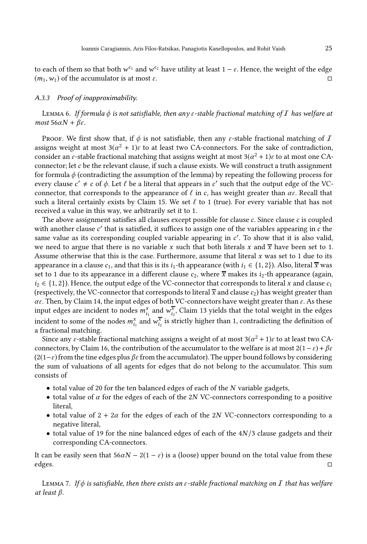to each of them so that both  $w^{c_1}$  and  $w^{c_2}$  have utility at least 1 –  $\varepsilon$ . Hence, the weight of the edge  $(m_1, w_1)$  of the accumulator is at most  $\varepsilon$ .

# <span id="page-24-0"></span>A.3.3 Proof of inapproximability.

LEMMA 6. If formula  $\phi$  is not satisfiable, then any  $\varepsilon$ -stable fractional matching of  $I$  has welfare at most  $56\alpha N + \beta \varepsilon$ .

Proof. We first show that, if  $\phi$  is not satisfiable, then any  $\varepsilon$ -stable fractional matching of  $I$ assigns weight at most  $3(\alpha^2 + 1)\varepsilon$  to at least two CA-connectors. For the sake of contradiction, consider an  $\varepsilon$ -stable fractional matching that assigns weight at most 3( $\alpha^2 + 1$ ) $\varepsilon$  to at most one CAconnector; let  $c$  be the relevant clause, if such a clause exists. We will construct a truth assignment for formula  $\phi$  (contradicting the assumption of the lemma) by repeating the following process for every clause  $c' \neq c$  of  $\phi$ . Let  $\ell$  be a literal that appears in  $c'$  such that the output edge of the VCconnector, that corresponds to the appearance of  $\ell$  in c, has weight greater than  $\alpha \epsilon$ . Recall that such a literal certainly exists by Claim [15.](#page-23-1) We set  $\ell$  to 1 (true). For every variable that has not received a value in this way, we arbitrarily set it to 1.

The above assignment satisfies all clauses except possible for clause  $c$ . Since clause  $c$  is coupled with another clause c' that is satisfied, it suffices to assign one of the variables appearing in c the same value as its corresponding coupled variable appearing in c'. To show that it is also valid, we need to argue that there is no variable x such that both literals x and  $\bar{x}$  have been set to 1. Assume otherwise that this is the case. Furthermore, assume that literal  $x$  was set to 1 due to its appearance in a clause  $c_1$ , and that this is its  $i_1$ -th appearance (with  $i_1 \in \{1, 2\}$ ). Also, literal  $\overline{x}$  was set to 1 due to its appearance in a different clause  $c_2$ , where  $\overline{x}$  makes its  $i_2$ -th appearance (again,  $i_2 \in \{1, 2\}$ ). Hence, the output edge of the VC-connector that corresponds to literal x and clause  $c_1$ (respectively, the VC-connector that corresponds to literal  $\overline{x}$  and clause  $c_2$ ) has weight greater than  $\alpha \varepsilon$ . Then, by Claim [14,](#page-23-2) the input edges of both VC-connectors have weight greater than  $\varepsilon$ . As these input edges are incident to nodes  $m_{i_1}^x$  and  $w_{i_2}^{\overline{x}}$ , Claim [13](#page-22-1) yields that the total weight in the edges incident to some of the nodes  $m_{i_1}^x$  and  $w_{i_2}^{\overline{x}}$  is strictly higher than 1, contradicting the definition of a fractional matching.

Since any  $\varepsilon$ -stable fractional matching assigns a weight of at most 3 $(\alpha^2 + 1)\varepsilon$  to at least two CA-connectors, by Claim [16,](#page-23-0) the contribution of the accumulator to the welfare is at most  $2(1-\varepsilon)+\beta\varepsilon$  $(2(1-\varepsilon))$  from the tine edges plus  $\beta \varepsilon$  from the accumulator). The upper bound follows by considering the sum of valuations of all agents for edges that do not belong to the accumulator. This sum consists of

- total value of 20 for the ten balanced edges of each of the N variable gadgets,
- total value of  $\alpha$  for the edges of each of the 2N VC-connectors corresponding to a positive literal,
- total value of  $2 + 2\alpha$  for the edges of each of the 2N VC-connectors corresponding to a negative literal,
- total value of 19 for the nine balanced edges of each of the  $4N/3$  clause gadgets and their corresponding CA-connectors.

It can be easily seen that  $56\alpha N - 2(1 - \varepsilon)$  is a (loose) upper bound on the total value from these edges.

<span id="page-24-1"></span>LEMMA 7. If  $\phi$  is satisfiable, then there exists an  $\varepsilon$ -stable fractional matching on  $I$  that has welfare at least β.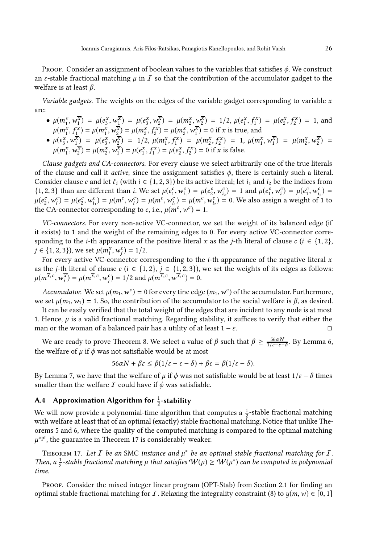Proof. Consider an assignment of boolean values to the variables that satisfies  $\phi$ . We construct an  $\varepsilon$ -stable fractional matching  $\mu$  in  $\bar{I}$  so that the contribution of the accumulator gadget to the welfare is at least  $\beta$ .

Variable gadgets. The weights on the edges of the variable gadget corresponding to variable  $x$ are:

• 
$$
\mu(m_1^x, w_1^{\overline{x}}) = \mu(e_3^x, w_1^{\overline{x}}) = \mu(e_3^x, w_2^{\overline{x}}) = \mu(m_2^x, w_2^{\overline{x}}) = 1/2, \mu(e_1^x, f_1^x) = \mu(e_2^x, f_2^x) = 1
$$
, and  $\mu(m_1^x, f_1^x) = \mu(m_1^x, w_2^{\overline{x}}) = \mu(m_2^x, f_2^x) = \mu(m_2^x, w_1^{\overline{x}}) = 0$  if *x* is true, and

• 
$$
\mu(e_3^{\overline{x}}, w_1^{\overline{x}}) = \mu(e_3^{\overline{x}}, w_2^{\overline{x}}) = 1/2, \ \mu(m_1^{\overline{x}}, f_1^{\overline{x}}) = \mu(m_2^{\overline{x}}, f_2^{\overline{x}}) = 1, \ \mu(m_1^{\overline{x}}, w_1^{\overline{x}}) = \mu(m_2^{\overline{x}}, w_2^{\overline{x}}) = \mu(m_1^{\overline{x}}, w_2^{\overline{x}}) = \mu(m_2^{\overline{x}}, w_1^{\overline{x}}) = \mu(e_1^{\overline{x}}, f_1^{\overline{x}}) = \mu(e_2^{\overline{x}}, f_2^{\overline{x}}) = 0 \text{ if } x \text{ is false.}
$$

Clause gadgets and CA-connectors. For every clause we select arbitrarily one of the true literals of the clause and call it *active*; since the assignment satisfies  $\phi$ , there is certainly such a literal. Consider clause c and let  $\ell_i$  (with  $i \in \{1, 2, 3\}$ ) be its active literal; let  $i_1$  and  $i_2$  be the indices from {1, 2, 3} than are different than *i*. We set  $\mu(e_1^c, w_{i_1}^c) = \mu(e_2^c, w_{i_2}^c) = 1$  and  $\mu(e_1^c, w_{i_1}^c) = \mu(e_1^c, w_{i_2}^c) =$  $\mu(e_2^c, w_i^c) = \mu(e_2^c, w_{i_1}^c) = \mu(m^c, w_i^c) = \mu(m^c, w_{i_1}^c) = \mu(m^c, w_{i_2}^c) = 0$ . We also assign a weight of 1 to the CA-connector corresponding to c, i.e.,  $\mu(m^c, w^c) = 1$ .

VC-connectors. For every non-active VC-connector, we set the weight of its balanced edge (if it exists) to 1 and the weight of the remaining edges to 0. For every active VC-connector corresponding to the *i*-th appearance of the positive literal x as the *j*-th literal of clause  $c$  ( $i \in \{1, 2\}$ ,  $j \in \{1, 2, 3\}$ , we set  $\mu(m_i^x, w_j^c) = 1/2$ .

For every active VC-connector corresponding to the *i*-th appearance of the negative literal  $x$ as the *j*-th literal of clause c ( $i \in \{1, 2\}$ ,  $j \in \{1, 2, 3\}$ ), we set the weights of its edges as follows:  $\mu(m^{\overline{x},c}, w_i^{\overline{x}}) = \mu(m^{\overline{x},c}, w_j^c) = 1/2$  and  $\mu(m^{\overline{x},c}, w^{\overline{x},c}) = 0$ .

Accumulator. We set  $\mu(m_1, w^c) = 0$  for every tine edge  $(m_1, w^c)$  of the accumulator. Furthermore, we set  $\mu(m_1, w_1) = 1$ . So, the contribution of the accumulator to the social welfare is  $\beta$ , as desired.

It can be easily verified that the total weight of the edges that are incident to any node is at most 1. Hence,  $\mu$  is a valid fractional matching. Regarding stability, it suffices to verify that either the man or the woman of a balanced pair has a utility of at least  $1 - \varepsilon$ .

We are ready to prove Theorem [8.](#page-11-2) We select a value of  $\beta$  such that  $\beta \ge \frac{56\alpha N}{1/\varepsilon - \varepsilon - \delta}$ . By Lemma [6,](#page-24-0) the welfare of  $\mu$  if  $\phi$  was not satisfiable would be at most

$$
56\alpha N + \beta \varepsilon \le \beta(1/\varepsilon - \varepsilon - \delta) + \beta \varepsilon = \beta(1/\varepsilon - \delta).
$$

By Lemma [7,](#page-24-1) we have that the welfare of  $\mu$  if  $\phi$  was not satisfiable would be at least  $1/\varepsilon - \delta$  times smaller than the welfare  $I$  could have if  $\phi$  was satisfiable.

# <span id="page-25-0"></span>A.4 Approximation Algorithm for  $\frac{1}{2}$ -stability

We will now provide a polynomial-time algorithm that computes a  $\frac{1}{2}$ -stable fractional matching with welfare at least that of an optimal (exactly) stable fractional matching. Notice that unlike Theorems [5](#page-10-1) and [6,](#page-10-0) where the quality of the computed matching is compared to the optimal matching  $\mu^{\rm opt}$ , the guarantee in Theorem [17](#page-25-1) is considerably weaker.

<span id="page-25-1"></span>THEOREM 17. Let  $I$  be an SMC instance and  $\mu^*$  be an optimal stable fractional matching for  $I$ . Then, a  $\frac{1}{2}$ -stable fractional matching  $\mu$  that satisfies  $W(\mu) \geq W(\mu^*)$  can be computed in polynomial time.

Proof. Consider the mixed integer linear program [\(OPT-Stab\)](#page-4-0) from Section [2.1](#page-4-0) for finding an optimal stable fractional matching for I. Relaxing the integrality constraint [\(8\)](#page-4-7) to  $y(m, w) \in [0, 1]$